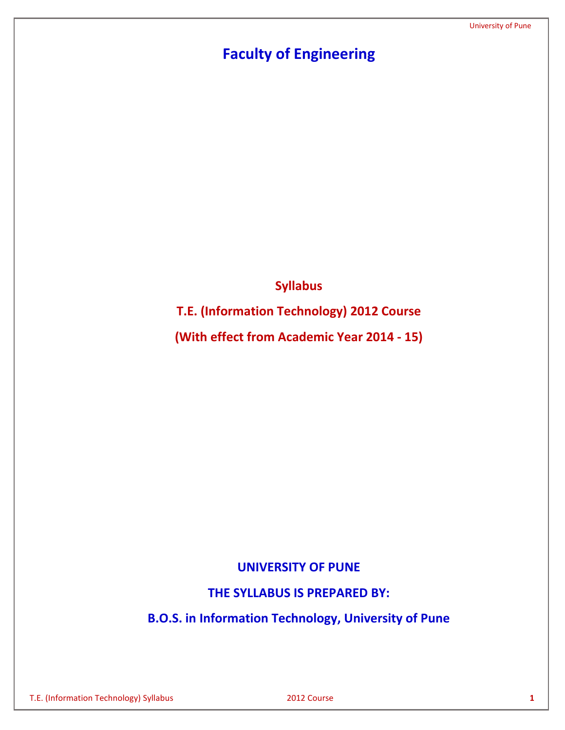# **Faculty of Engineering**

**Syllabus**

**T.E. (Information Technology) 2012 Course**

**(With effect from Academic Year 2014 - 15)**

# **UNIVERSITY OF PUNE**

**THE SYLLABUS IS PREPARED BY:**

**B.O.S. in Information Technology, University of Pune**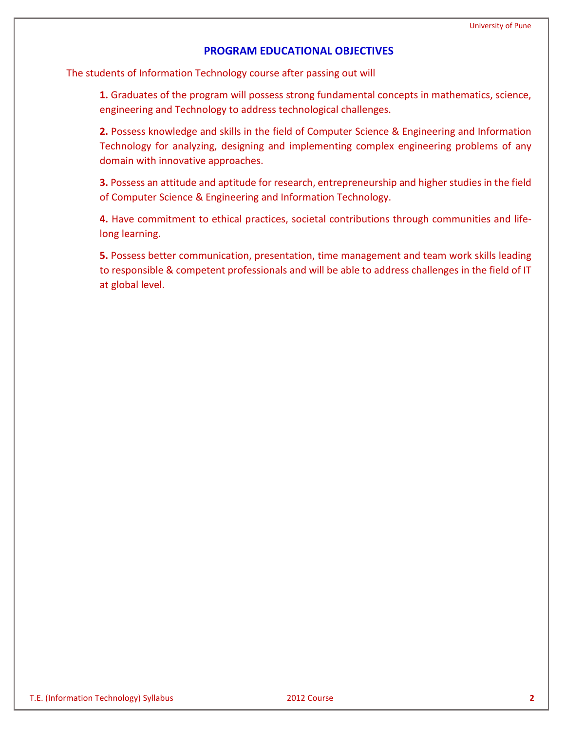# **PROGRAM EDUCATIONAL OBJECTIVES**

The students of Information Technology course after passing out will

**1.** Graduates of the program will possess strong fundamental concepts in mathematics, science, engineering and Technology to address technological challenges.

**2.** Possess knowledge and skills in the field of Computer Science & Engineering and Information Technology for analyzing, designing and implementing complex engineering problems of any domain with innovative approaches.

**3.** Possess an attitude and aptitude for research, entrepreneurship and higher studies in the field of Computer Science & Engineering and Information Technology.

**4.** Have commitment to ethical practices, societal contributions through communities and lifelong learning.

**5.** Possess better communication, presentation, time management and team work skills leading to responsible & competent professionals and will be able to address challenges in the field of IT at global level.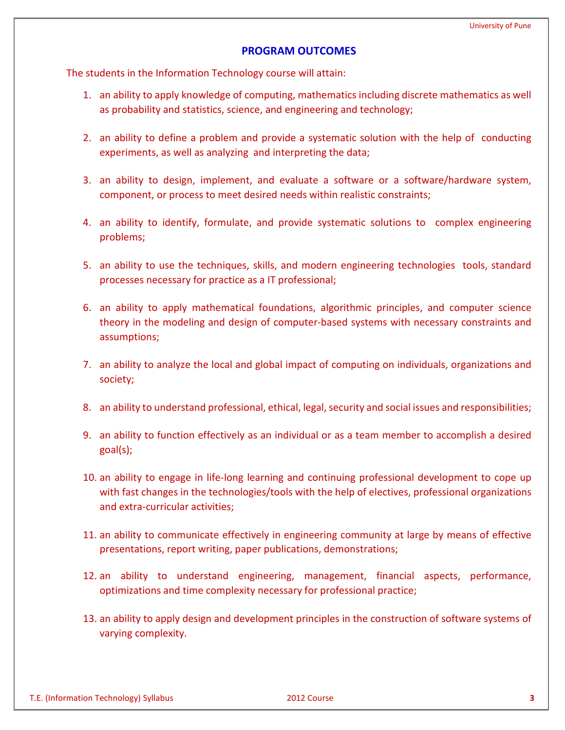### **PROGRAM OUTCOMES**

The students in the Information Technology course will attain:

- 1. an ability to apply knowledge of computing, mathematics including discrete mathematics as well as probability and statistics, science, and engineering and technology;
- 2. an ability to define a problem and provide a systematic solution with the help of conducting experiments, as well as analyzing and interpreting the data;
- 3. an ability to design, implement, and evaluate a software or a software/hardware system, component, or process to meet desired needs within realistic constraints;
- 4. an ability to identify, formulate, and provide systematic solutions to complex engineering problems;
- 5. an ability to use the techniques, skills, and modern engineering technologies tools, standard processes necessary for practice as a IT professional;
- 6. an ability to apply mathematical foundations, algorithmic principles, and computer science theory in the modeling and design of computer-based systems with necessary constraints and assumptions;
- 7. an ability to analyze the local and global impact of computing on individuals, organizations and society;
- 8. an ability to understand professional, ethical, legal, security and social issues and responsibilities;
- 9. an ability to function effectively as an individual or as a team member to accomplish a desired goal(s);
- 10. an ability to engage in life-long learning and continuing professional development to cope up with fast changes in the technologies/tools with the help of electives, professional organizations and extra-curricular activities;
- 11. an ability to communicate effectively in engineering community at large by means of effective presentations, report writing, paper publications, demonstrations;
- 12. an ability to understand engineering, management, financial aspects, performance, optimizations and time complexity necessary for professional practice;
- 13. an ability to apply design and development principles in the construction of software systems of varying complexity.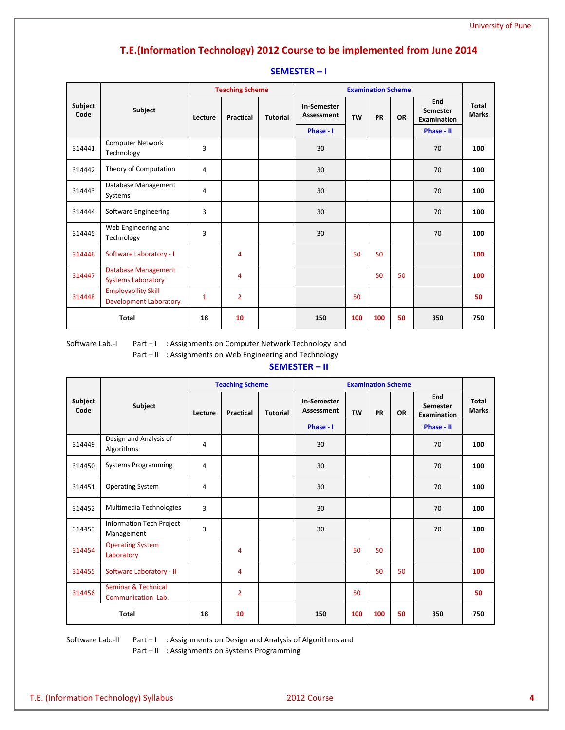# **T.E.(Information Technology) 2012 Course to be implemented from June 2014**

|                 |                                                             | <b>Teaching Scheme</b> |                  |                 | <b>Examination Scheme</b> |           |           |           |                                       |                       |
|-----------------|-------------------------------------------------------------|------------------------|------------------|-----------------|---------------------------|-----------|-----------|-----------|---------------------------------------|-----------------------|
| Subject<br>Code | Subject                                                     | Lecture                | <b>Practical</b> | <b>Tutorial</b> | In-Semester<br>Assessment | <b>TW</b> | <b>PR</b> | <b>OR</b> | End<br>Semester<br><b>Examination</b> | Total<br><b>Marks</b> |
|                 |                                                             |                        |                  |                 | Phase - I                 |           |           |           | Phase - II                            |                       |
| 314441          | <b>Computer Network</b><br>Technology                       | 3                      |                  |                 | 30                        |           |           |           | 70                                    | 100                   |
| 314442          | Theory of Computation                                       | 4                      |                  |                 | 30                        |           |           |           | 70                                    | 100                   |
| 314443          | Database Management<br>Systems                              | 4                      |                  |                 | 30                        |           |           |           | 70                                    | 100                   |
| 314444          | Software Engineering                                        | 3                      |                  |                 | 30                        |           |           |           | 70                                    | 100                   |
| 314445          | Web Engineering and<br>Technology                           | 3                      |                  |                 | 30                        |           |           |           | 70                                    | 100                   |
| 314446          | Software Laboratory - I                                     |                        | 4                |                 |                           | 50        | 50        |           |                                       | 100                   |
| 314447          | <b>Database Management</b><br><b>Systems Laboratory</b>     |                        | 4                |                 |                           |           | 50        | 50        |                                       | 100                   |
| 314448          | <b>Employability Skill</b><br><b>Development Laboratory</b> | 1                      | $\overline{2}$   |                 |                           | 50        |           |           |                                       | 50                    |
| <b>Total</b>    |                                                             | 18                     | 10               |                 | 150                       | 100       | 100       | 50        | 350                                   | 750                   |

#### **SEMESTER – I**

Software Lab.-I Part - I : Assignments on Computer Network Technology and

Part – II : Assignments on Web Engineering and Technology

#### **SEMESTER – II**

|                 |                                           | <b>Teaching Scheme</b> |                  | <b>Examination Scheme</b> |                           |           |           |           |                                |                       |
|-----------------|-------------------------------------------|------------------------|------------------|---------------------------|---------------------------|-----------|-----------|-----------|--------------------------------|-----------------------|
| Subject<br>Code | Subject                                   | Lecture                | <b>Practical</b> | <b>Tutorial</b>           | In-Semester<br>Assessment | <b>TW</b> | <b>PR</b> | <b>OR</b> | End<br>Semester<br>Examination | Total<br><b>Marks</b> |
|                 |                                           |                        |                  |                           | Phase - I                 |           |           |           | Phase - II                     |                       |
| 314449          | Design and Analysis of<br>Algorithms      | 4                      |                  |                           | 30                        |           |           |           | 70                             | 100                   |
| 314450          | <b>Systems Programming</b>                | 4                      |                  |                           | 30                        |           |           |           | 70                             | 100                   |
| 314451          | <b>Operating System</b>                   | 4                      |                  |                           | 30                        |           |           |           | 70                             | 100                   |
| 314452          | Multimedia Technologies                   | 3                      |                  |                           | 30                        |           |           |           | 70                             | 100                   |
| 314453          | Information Tech Project<br>Management    | 3                      |                  |                           | 30                        |           |           |           | 70                             | 100                   |
| 314454          | <b>Operating System</b><br>Laboratory     |                        | 4                |                           |                           | 50        | 50        |           |                                | 100                   |
| 314455          | Software Laboratory - II                  |                        | 4                |                           |                           |           | 50        | 50        |                                | 100                   |
| 314456          | Seminar & Technical<br>Communication Lab. |                        | $\overline{2}$   |                           |                           | 50        |           |           |                                | 50                    |
| <b>Total</b>    |                                           | 18                     | 10               |                           | 150                       | 100       | 100       | 50        | 350                            | 750                   |

Software Lab.-II Part – I: Assignments on Design and Analysis of Algorithms and

Part – II : Assignments on Systems Programming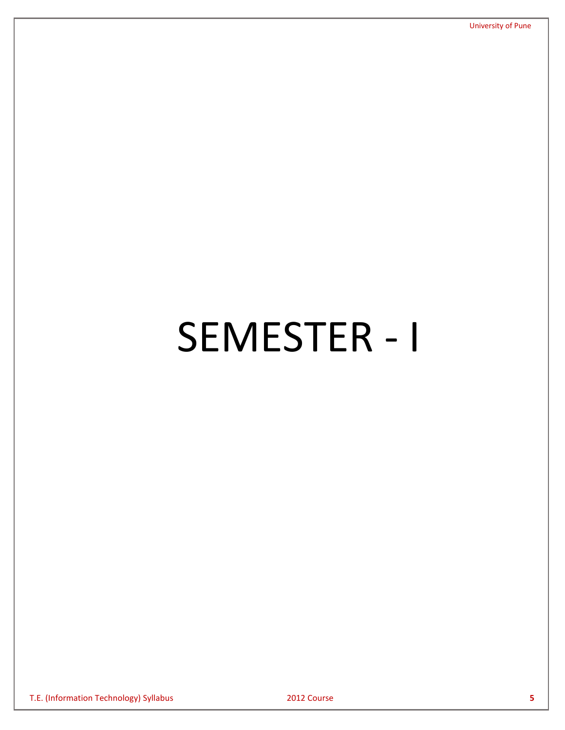# SEMESTER - I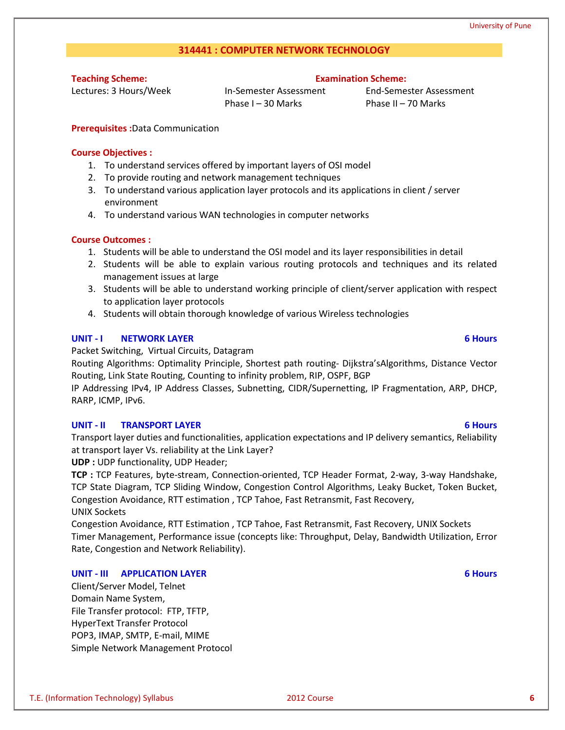## **314441 : COMPUTER NETWORK TECHNOLOGY**

**Teaching Scheme:**

Lectures: 3 Hours/Week

In-Semester Assessment Phase I – 30 Marks

End-Semester Assessment Phase II – 70 Marks

**Examination Scheme:**

**Prerequisites :**Data Communication

### **Course Objectives :**

- 1. To understand services offered by important layers of OSI model
- 2. To provide routing and network management techniques
- 3. To understand various application layer protocols and its applications in client / server environment
- 4. To understand various WAN technologies in computer networks

### **Course Outcomes :**

- 1. Students will be able to understand the OSI model and its layer responsibilities in detail
- 2. Students will be able to explain various routing protocols and techniques and its related management issues at large
- 3. Students will be able to understand working principle of client/server application with respect to application layer protocols
- 4. Students will obtain thorough knowledge of various Wireless technologies

### **UNIT - I NETWORK LAYER 6 Hours**

Packet Switching, Virtual Circuits, Datagram

Routing Algorithms: Optimality Principle, Shortest path routing- Dijkstra'sAlgorithms, Distance Vector Routing, Link State Routing, Counting to infinity problem, RIP, OSPF, BGP

IP Addressing IPv4, IP Address Classes, Subnetting, CIDR/Supernetting, IP Fragmentation, ARP, DHCP, RARP, ICMP, IPv6.

### **UNIT - II TRANSPORT LAYER 6 Hours**

Transport layer duties and functionalities, application expectations and IP delivery semantics, Reliability at transport layer Vs. reliability at the Link Layer?

**UDP :** UDP functionality, UDP Header;

**TCP :** TCP Features, byte-stream, Connection-oriented, TCP Header Format, 2-way, 3-way Handshake, TCP State Diagram, TCP Sliding Window, Congestion Control Algorithms, Leaky Bucket, Token Bucket, Congestion Avoidance, RTT estimation , TCP Tahoe, Fast Retransmit, Fast Recovery, UNIX Sockets

Congestion Avoidance, RTT Estimation , TCP Tahoe, Fast Retransmit, Fast Recovery, UNIX Sockets Timer Management, Performance issue (concepts like: Throughput, Delay, Bandwidth Utilization, Error Rate, Congestion and Network Reliability).

### **UNIT - III APPLICATION LAYER 6 Hours**

Client/Server Model, Telnet Domain Name System, File Transfer protocol: FTP, TFTP, HyperText Transfer Protocol POP3, IMAP, SMTP, E-mail, MIME Simple Network Management Protocol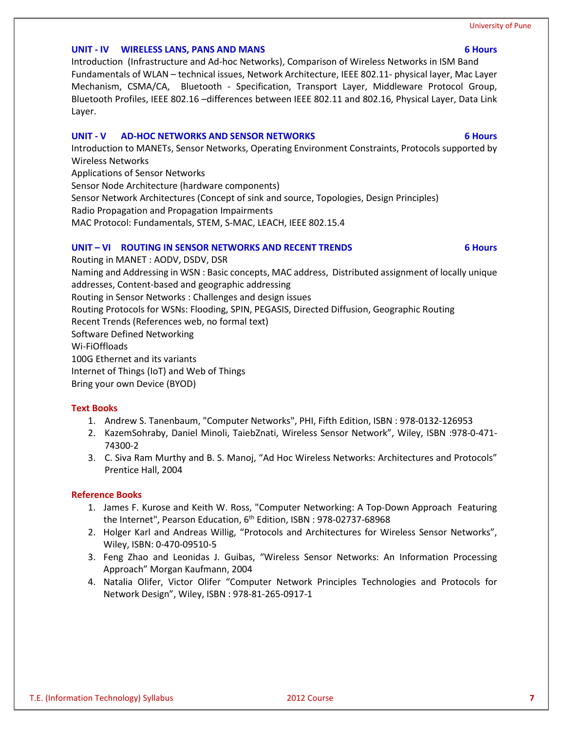#### **UNIT - IV WIRELESS LANS, PANS AND MANS 6 Hours**

Introduction (Infrastructure and Ad-hoc Networks), Comparison of Wireless Networks in ISM Band Fundamentals of WLAN – technical issues, Network Architecture, IEEE 802.11- physical layer, Mac Layer Mechanism, CSMA/CA, Bluetooth - Specification, Transport Layer, Middleware Protocol Group, Bluetooth Profiles, IEEE 802.16 –differences between IEEE 802.11 and 802.16, Physical Layer, Data Link Layer.

### **UNIT - V AD-HOC NETWORKS AND SENSOR NETWORKS 6 Hours**

Introduction to MANETs, Sensor Networks, Operating Environment Constraints, Protocols supported by Wireless Networks

Applications of Sensor Networks

Sensor Node Architecture (hardware components)

Sensor Network Architectures (Concept of sink and source, Topologies, Design Principles)

Radio Propagation and Propagation Impairments

MAC Protocol: Fundamentals, STEM, S-MAC, LEACH, IEEE 802.15.4

### **UNIT – VI ROUTING IN SENSOR NETWORKS AND RECENT TRENDS 6 Hours**

Routing in MANET : AODV, DSDV, DSR Naming and Addressing in WSN : Basic concepts, MAC address, Distributed assignment of locally unique addresses, Content-based and geographic addressing Routing in Sensor Networks : Challenges and design issues Routing Protocols for WSNs: Flooding, SPIN, PEGASIS, Directed Diffusion, Geographic Routing Recent Trends (References web, no formal text) Software Defined Networking Wi-FiOffloads 100G Ethernet and its variants Internet of Things (IoT) and Web of Things

Bring your own Device (BYOD)

- **Text Books** 1. Andrew S. Tanenbaum, "Computer Networks", PHI, Fifth Edition, ISBN : 978-0132-126953
	- 2. KazemSohraby, Daniel Minoli, TaiebZnati, Wireless Sensor Network", Wiley, ISBN :978-0-471- 74300-2
	- 3. C. Siva Ram Murthy and B. S. Manoj, "Ad Hoc Wireless Networks: Architectures and Protocols" Prentice Hall, 2004

- 1. James F. Kurose and Keith W. Ross, "Computer Networking: A Top-Down Approach Featuring the Internet", Pearson Education, 6<sup>th</sup> Edition, ISBN: 978-02737-68968
- 2. Holger Karl and Andreas Willig, "Protocols and Architectures for Wireless Sensor Networks", Wiley, ISBN: 0-470-09510-5
- 3. Feng Zhao and Leonidas J. Guibas, "Wireless Sensor Networks: An Information Processing Approach" Morgan Kaufmann, 2004
- 4. Natalia Olifer, Victor Olifer "Computer Network Principles Technologies and Protocols for Network Design", Wiley, ISBN : 978-81-265-0917-1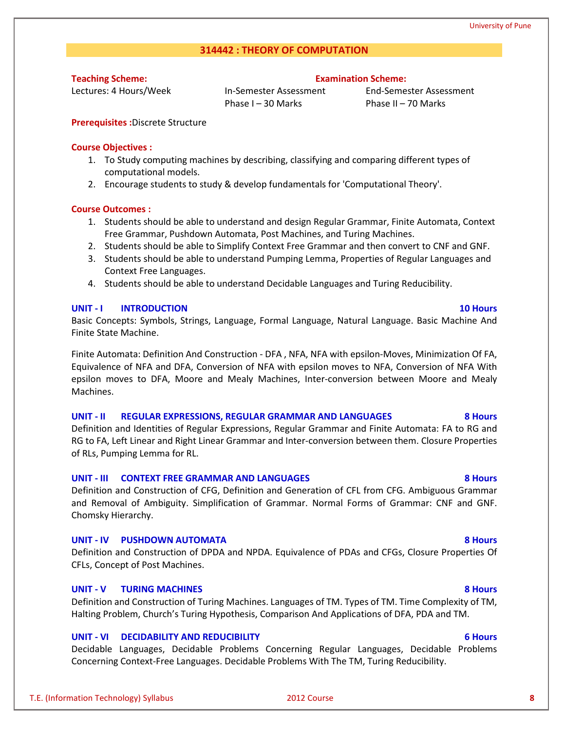#### **314442 : THEORY OF COMPUTATION**

**Teaching Scheme:**

Lectures: 4 Hours/Week

In-Semester Assessment Phase I – 30 Marks

End-Semester Assessment Phase II – 70 Marks

**Examination Scheme:**

**Prerequisites :**Discrete Structure

#### **Course Objectives :**

- 1. To Study computing machines by describing, classifying and comparing different types of computational models.
- 2. Encourage students to study & develop fundamentals for 'Computational Theory'.

#### **Course Outcomes :**

- 1. Students should be able to understand and design Regular Grammar, Finite Automata, Context Free Grammar, Pushdown Automata, Post Machines, and Turing Machines.
- 2. Students should be able to Simplify Context Free Grammar and then convert to CNF and GNF.
- 3. Students should be able to understand Pumping Lemma, Properties of Regular Languages and Context Free Languages.
- 4. Students should be able to understand Decidable Languages and Turing Reducibility.

#### **UNIT - I INTRODUCTION 10 Hours**

Basic Concepts: Symbols, Strings, Language, Formal Language, Natural Language. Basic Machine And Finite State Machine.

Finite Automata: Definition And Construction - DFA , NFA, NFA with epsilon-Moves, Minimization Of FA, Equivalence of NFA and DFA, Conversion of NFA with epsilon moves to NFA, Conversion of NFA With epsilon moves to DFA, Moore and Mealy Machines, Inter-conversion between Moore and Mealy Machines.

#### **UNIT - II REGULAR EXPRESSIONS, REGULAR GRAMMAR AND LANGUAGES 8 Hours**

Definition and Identities of Regular Expressions, Regular Grammar and Finite Automata: FA to RG and RG to FA, Left Linear and Right Linear Grammar and Inter-conversion between them. Closure Properties of RLs, Pumping Lemma for RL.

#### **UNIT - III CONTEXT FREE GRAMMAR AND LANGUAGES 8 Hours**

Definition and Construction of CFG, Definition and Generation of CFL from CFG. Ambiguous Grammar and Removal of Ambiguity. Simplification of Grammar. Normal Forms of Grammar: CNF and GNF. Chomsky Hierarchy.

#### **UNIT - IV PUSHDOWN AUTOMATA 8 Hours**

Definition and Construction of DPDA and NPDA. Equivalence of PDAs and CFGs, Closure Properties Of CFLs, Concept of Post Machines.

#### **UNIT - V TURING MACHINES 8 Hours**

Definition and Construction of Turing Machines. Languages of TM. Types of TM. Time Complexity of TM, Halting Problem, Church's Turing Hypothesis, Comparison And Applications of DFA, PDA and TM.

#### **UNIT - VI DECIDABILITY AND REDUCIBILITY 6 Hours**

Decidable Languages, Decidable Problems Concerning Regular Languages, Decidable Problems Concerning Context-Free Languages. Decidable Problems With The TM, Turing Reducibility.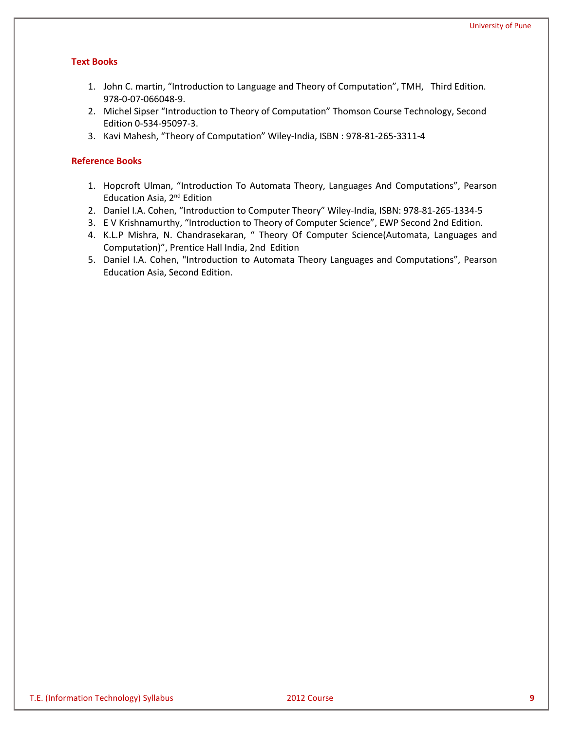### **Text Books**

- 1. John C. martin, "Introduction to Language and Theory of Computation", TMH, Third Edition. 978-0-07-066048-9.
- 2. Michel Sipser "Introduction to Theory of Computation" Thomson Course Technology, Second Edition 0-534-95097-3.
- 3. Kavi Mahesh, "Theory of Computation" Wiley-India, ISBN : 978-81-265-3311-4

- 1. Hopcroft Ulman, "Introduction To Automata Theory, Languages And Computations", Pearson Education Asia, 2nd Edition
- 2. Daniel I.A. Cohen, "Introduction to Computer Theory" Wiley-India, ISBN: 978-81-265-1334-5
- 3. E V Krishnamurthy, "Introduction to Theory of Computer Science", EWP Second 2nd Edition.
- 4. K.L.P Mishra, N. Chandrasekaran, " Theory Of Computer Science(Automata, Languages and Computation)", Prentice Hall India, 2nd Edition
- 5. Daniel I.A. Cohen, "Introduction to Automata Theory Languages and Computations", Pearson Education Asia, Second Edition.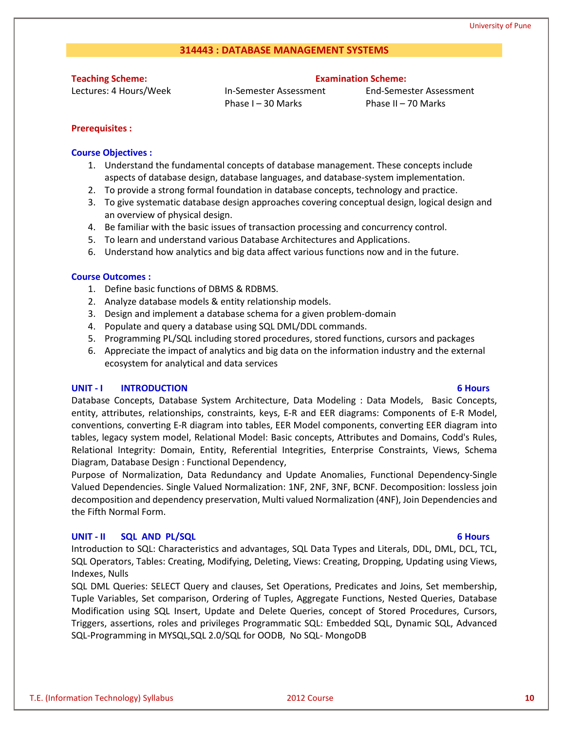### **314443 : DATABASE MANAGEMENT SYSTEMS**

**Teaching Scheme:**

Lectures: 4 Hours/Week

#### **Examination Scheme:**

In-Semester Assessment Phase I – 30 Marks

End-Semester Assessment Phase II – 70 Marks

### **Prerequisites :**

#### **Course Objectives :**

- 1. Understand the fundamental concepts of database management. These concepts include aspects of database design, database languages, and database-system implementation.
- 2. To provide a strong formal foundation in database concepts, technology and practice.
- 3. To give systematic database design approaches covering conceptual design, logical design and an overview of physical design.
- 4. Be familiar with the basic issues of transaction processing and concurrency control.
- 5. To learn and understand various Database Architectures and Applications.
- 6. Understand how analytics and big data affect various functions now and in the future.

#### **Course Outcomes :**

- 1. Define basic functions of DBMS & RDBMS.
- 2. Analyze database models & entity relationship models.
- 3. Design and implement a database schema for a given problem-domain
- 4. Populate and query a database using SQL DML/DDL commands.
- 5. Programming PL/SQL including stored procedures, stored functions, cursors and packages
- 6. Appreciate the impact of analytics and big data on the information industry and the external ecosystem for analytical and data services

#### **UNIT - I INTRODUCTION 6 Hours**

Database Concepts, Database System Architecture, Data Modeling : Data Models, Basic Concepts, entity, attributes, relationships, constraints, keys, E-R and EER diagrams: Components of E-R Model, conventions, converting E-R diagram into tables, EER Model components, converting EER diagram into tables, legacy system model, Relational Model: Basic concepts, Attributes and Domains, Codd's Rules, Relational Integrity: Domain, Entity, Referential Integrities, Enterprise Constraints, Views, Schema Diagram, Database Design : Functional Dependency,

Purpose of Normalization, Data Redundancy and Update Anomalies, Functional Dependency-Single Valued Dependencies. Single Valued Normalization: 1NF, 2NF, 3NF, BCNF. Decomposition: lossless join decomposition and dependency preservation, Multi valued Normalization (4NF), Join Dependencies and the Fifth Normal Form.

#### **UNIT - II SQL AND PL/SQL 6 Hours**

Introduction to SQL: Characteristics and advantages, SQL Data Types and Literals, DDL, DML, DCL, TCL, SQL Operators, Tables: Creating, Modifying, Deleting, Views: Creating, Dropping, Updating using Views, Indexes, Nulls

SQL DML Queries: SELECT Query and clauses, Set Operations, Predicates and Joins, Set membership, Tuple Variables, Set comparison, Ordering of Tuples, Aggregate Functions, Nested Queries, Database Modification using SQL Insert, Update and Delete Queries, concept of Stored Procedures, Cursors, Triggers, assertions, roles and privileges Programmatic SQL: Embedded SQL, Dynamic SQL, Advanced SQL-Programming in MYSQL,SQL 2.0/SQL for OODB, No SQL- MongoDB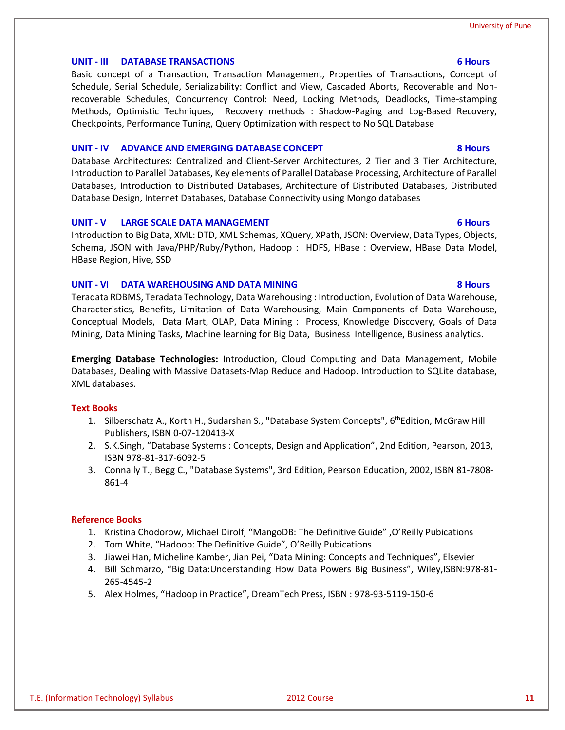#### **UNIT - III DATABASE TRANSACTIONS 6 Hours**

Basic concept of a Transaction, Transaction Management, Properties of Transactions, Concept of Schedule, Serial Schedule, Serializability: Conflict and View, Cascaded Aborts, Recoverable and Nonrecoverable Schedules, Concurrency Control: Need, Locking Methods, Deadlocks, Time-stamping Methods, Optimistic Techniques, Recovery methods : Shadow-Paging and Log-Based Recovery, Checkpoints, Performance Tuning, Query Optimization with respect to No SQL Database

#### **UNIT - IV ADVANCE AND EMERGING DATABASE CONCEPT 8 Hours**

Database Architectures: Centralized and Client-Server Architectures, 2 Tier and 3 Tier Architecture, Introduction to Parallel Databases, Key elements of Parallel Database Processing, Architecture of Parallel Databases, Introduction to Distributed Databases, Architecture of Distributed Databases, Distributed Database Design, Internet Databases, Database Connectivity using Mongo databases

#### **UNIT - V LARGE SCALE DATA MANAGEMENT 6 Hours**

Introduction to Big Data, XML: DTD, XML Schemas, XQuery, XPath, JSON: Overview, Data Types, Objects, Schema, JSON with Java/PHP/Ruby/Python, Hadoop : HDFS, HBase : Overview, HBase Data Model, HBase Region, Hive, SSD

#### **UNIT - VI DATA WAREHOUSING AND DATA MINING 8 Hours**

Teradata RDBMS, Teradata Technology, Data Warehousing : Introduction, Evolution of Data Warehouse, Characteristics, Benefits, Limitation of Data Warehousing, Main Components of Data Warehouse, Conceptual Models, Data Mart, OLAP, Data Mining : Process, Knowledge Discovery, Goals of Data Mining, Data Mining Tasks, Machine learning for Big Data, Business Intelligence, Business analytics.

**Emerging Database Technologies:** Introduction, Cloud Computing and Data Management, Mobile Databases, Dealing with Massive Datasets-Map Reduce and Hadoop. Introduction to SQLite database, XML databases.

#### **Text Books**

- 1. Silberschatz A., Korth H., Sudarshan S., "Database System Concepts", 6<sup>th</sup>Edition, McGraw Hill Publishers, ISBN 0-07-120413-X
- 2. S.K.Singh, "Database Systems : Concepts, Design and Application", 2nd Edition, Pearson, 2013, ISBN 978-81-317-6092-5
- 3. Connally T., Begg C., "Database Systems", 3rd Edition, Pearson Education, 2002, ISBN 81-7808- 861-4

- 1. Kristina Chodorow, Michael Dirolf, "MangoDB: The Definitive Guide" ,O'Reilly Pubications
- 2. Tom White, "Hadoop: The Definitive Guide", O'Reilly Pubications
- 3. Jiawei Han, Micheline Kamber, Jian Pei, "Data Mining: Concepts and Techniques", Elsevier
- 4. Bill Schmarzo, "Big Data:Understanding How Data Powers Big Business", Wiley,ISBN:978-81- 265-4545-2
- 5. Alex Holmes, "Hadoop in Practice", DreamTech Press, ISBN : 978-93-5119-150-6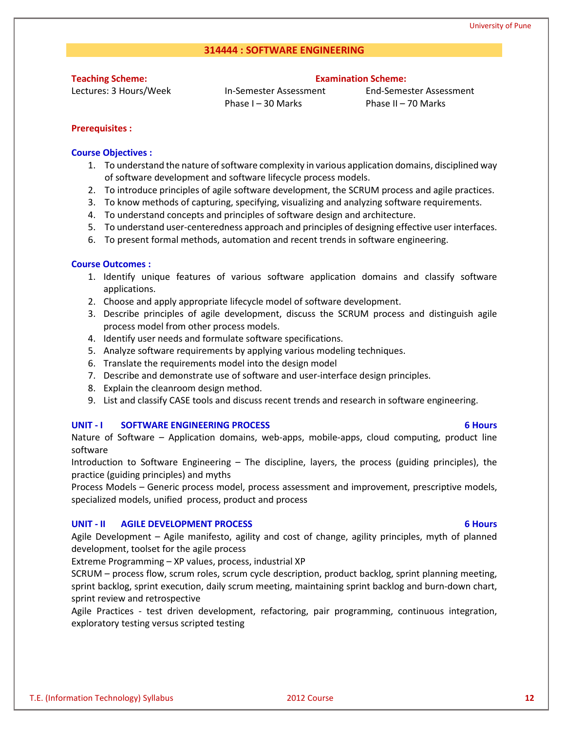#### **314444 : SOFTWARE ENGINEERING**

**Teaching Scheme:**

Lectures: 3 Hours/Week

#### **Examination Scheme:**

In-Semester Assessment Phase I – 30 Marks

End-Semester Assessment Phase II – 70 Marks

#### **Prerequisites :**

#### **Course Objectives :**

- 1. To understand the nature of software complexity in various application domains, disciplined way of software development and software lifecycle process models.
- 2. To introduce principles of agile software development, the SCRUM process and agile practices.
- 3. To know methods of capturing, specifying, visualizing and analyzing software requirements.
- 4. To understand concepts and principles of software design and architecture.
- 5. To understand user-centeredness approach and principles of designing effective user interfaces.
- 6. To present formal methods, automation and recent trends in software engineering.

#### **Course Outcomes :**

- 1. Identify unique features of various software application domains and classify software applications.
- 2. Choose and apply appropriate lifecycle model of software development.
- 3. Describe principles of agile development, discuss the SCRUM process and distinguish agile process model from other process models.
- 4. Identify user needs and formulate software specifications.
- 5. Analyze software requirements by applying various modeling techniques.
- 6. Translate the requirements model into the design model
- 7. Describe and demonstrate use of software and user-interface design principles.
- 8. Explain the cleanroom design method.
- 9. List and classify CASE tools and discuss recent trends and research in software engineering.

#### **UNIT - I SOFTWARE ENGINEERING PROCESS 6 Hours**

Nature of Software – Application domains, web-apps, mobile-apps, cloud computing, product line software

Introduction to Software Engineering – The discipline, layers, the process (guiding principles), the practice (guiding principles) and myths

Process Models – Generic process model, process assessment and improvement, prescriptive models, specialized models, unified process, product and process

#### **UNIT - II AGILE DEVELOPMENT PROCESS 6 Hours**

Agile Development – Agile manifesto, agility and cost of change, agility principles, myth of planned development, toolset for the agile process

Extreme Programming – XP values, process, industrial XP

SCRUM – process flow, scrum roles, scrum cycle description, product backlog, sprint planning meeting, sprint backlog, sprint execution, daily scrum meeting, maintaining sprint backlog and burn-down chart, sprint review and retrospective

Agile Practices - test driven development, refactoring, pair programming, continuous integration, exploratory testing versus scripted testing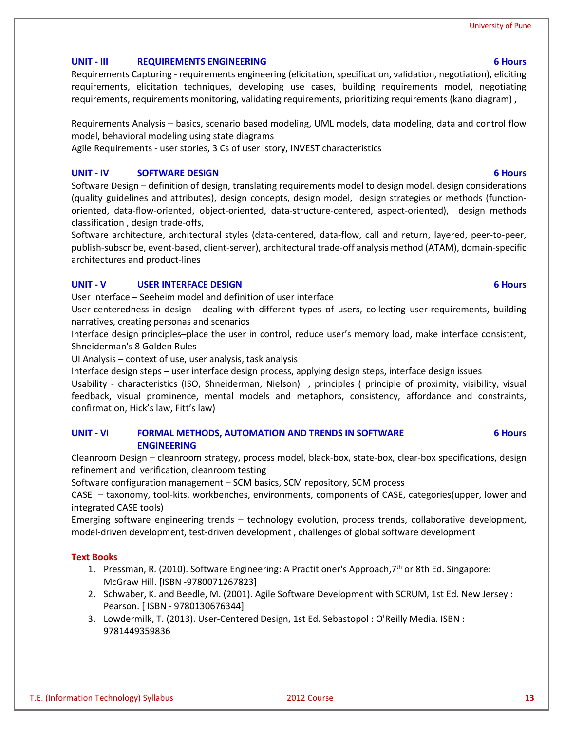# **UNIT - III REQUIREMENTS ENGINEERING 6 Hours**

Requirements Capturing - requirements engineering (elicitation, specification, validation, negotiation), eliciting requirements, elicitation techniques, developing use cases, building requirements model, negotiating requirements, requirements monitoring, validating requirements, prioritizing requirements (kano diagram) ,

Requirements Analysis – basics, scenario based modeling, UML models, data modeling, data and control flow model, behavioral modeling using state diagrams

Agile Requirements - user stories, 3 Cs of user story, INVEST characteristics

# **UNIT - IV SOFTWARE DESIGN 6 Hours**

Software Design – definition of design, translating requirements model to design model, design considerations (quality guidelines and attributes), design concepts, design model, design strategies or methods (functionoriented, data-flow-oriented, object-oriented, data-structure-centered, aspect-oriented), design methods classification , design trade-offs,

Software architecture, architectural styles (data-centered, data-flow, call and return, layered, peer-to-peer, publish-subscribe, event-based, client-server), architectural trade-off analysis method (ATAM), domain-specific architectures and product-lines

# **UNIT - V USER INTERFACE DESIGN 6 Hours**

User Interface – Seeheim model and definition of user interface

User-centeredness in design - dealing with different types of users, collecting user-requirements, building narratives, creating personas and scenarios

Interface design principles–place the user in control, reduce user's memory load, make interface consistent, Shneiderman's 8 Golden Rules

UI Analysis – context of use, user analysis, task analysis

Interface design steps – user interface design process, applying design steps, interface design issues

Usability - characteristics (ISO, Shneiderman, Nielson) , principles ( principle of proximity, visibility, visual feedback, visual prominence, mental models and metaphors, consistency, affordance and constraints, confirmation, Hick's law, Fitt's law)

#### **UNIT - VI FORMAL METHODS, AUTOMATION AND TRENDS IN SOFTWARE ENGINEERING 6 Hours**

Cleanroom Design – cleanroom strategy, process model, black-box, state-box, clear-box specifications, design refinement and verification, cleanroom testing

Software configuration management – SCM basics, SCM repository, SCM process

CASE – taxonomy, tool-kits, workbenches, environments, components of CASE, categories(upper, lower and integrated CASE tools)

Emerging software engineering trends – technology evolution, process trends, collaborative development, model-driven development, test-driven development , challenges of global software development

# **Text Books**

- 1. Pressman, R. (2010). Software Engineering: A Practitioner's Approach,7th or 8th Ed. Singapore: McGraw Hill. [ISBN -9780071267823]
- 2. Schwaber, K. and Beedle, M. (2001). Agile Software Development with SCRUM, 1st Ed. New Jersey : Pearson. [ ISBN - 9780130676344]
- 3. Lowdermilk, T. (2013). User-Centered Design, 1st Ed. Sebastopol : O'Reilly Media. ISBN : 9781449359836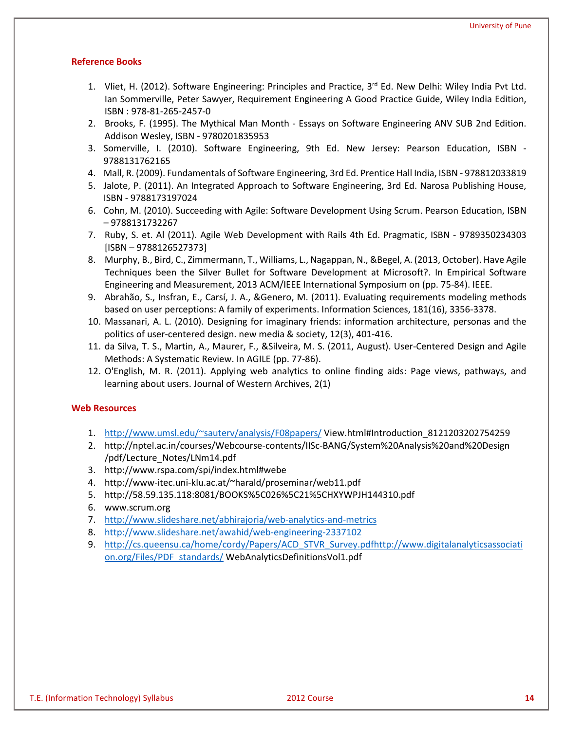#### **Reference Books**

- 1. Vliet, H. (2012). Software Engineering: Principles and Practice,  $3^{rd}$  Ed. New Delhi: Wiley India Pvt Ltd. Ian Sommerville, Peter Sawyer, Requirement Engineering A Good Practice Guide, Wiley India Edition, ISBN : 978-81-265-2457-0
- 2. Brooks, F. (1995). The Mythical Man Month Essays on Software Engineering ANV SUB 2nd Edition. Addison Wesley, ISBN - 9780201835953
- 3. Somerville, I. (2010). Software Engineering, 9th Ed. New Jersey: Pearson Education, ISBN 9788131762165
- 4. Mall, R. (2009). Fundamentals of Software Engineering, 3rd Ed. Prentice Hall India, ISBN 978812033819
- 5. Jalote, P. (2011). An Integrated Approach to Software Engineering, 3rd Ed. Narosa Publishing House, ISBN - 9788173197024
- 6. Cohn, M. (2010). Succeeding with Agile: Software Development Using Scrum. Pearson Education, ISBN – 9788131732267
- 7. Ruby, S. et. Al (2011). Agile Web Development with Rails 4th Ed. Pragmatic, ISBN 9789350234303 [ISBN – 9788126527373]
- 8. Murphy, B., Bird, C., Zimmermann, T., Williams, L., Nagappan, N., &Begel, A. (2013, October). Have Agile Techniques been the Silver Bullet for Software Development at Microsoft?. In Empirical Software Engineering and Measurement, 2013 ACM/IEEE International Symposium on (pp. 75-84). IEEE.
- 9. Abrahão, S., Insfran, E., Carsí, J. A., &Genero, M. (2011). Evaluating requirements modeling methods based on user perceptions: A family of experiments. Information Sciences, 181(16), 3356-3378.
- 10. Massanari, A. L. (2010). Designing for imaginary friends: information architecture, personas and the politics of user-centered design. new media & society, 12(3), 401-416.
- 11. da Silva, T. S., Martin, A., Maurer, F., &Silveira, M. S. (2011, August). User-Centered Design and Agile Methods: A Systematic Review. In AGILE (pp. 77-86).
- 12. O'English, M. R. (2011). Applying web analytics to online finding aids: Page views, pathways, and learning about users. Journal of Western Archives, 2(1)

#### **Web Resources**

- 1. [http://www.umsl.edu/~sauterv/analysis/F08papers/](http://www.umsl.edu/%7Esauterv/analysis/F08papers/) View.html#Introduction\_8121203202754259
- 2. http://nptel.ac.in/courses/Webcourse-contents/IISc-BANG/System%20Analysis%20and%20Design /pdf/Lecture\_Notes/LNm14.pdf
- 3. http://www.rspa.com/spi/index.html#webe
- 4. http://www-itec.uni-klu.ac.at/~harald/proseminar/web11.pdf
- 5. http://58.59.135.118:8081/BOOKS%5C026%5C21%5CHXYWPJH144310.pdf
- 6. www.scrum.org
- 7. <http://www.slideshare.net/abhirajoria/web-analytics-and-metrics>
- 8. <http://www.slideshare.net/awahid/web-engineering-2337102>
- 9. [http://cs.queensu.ca/home/cordy/Papers/ACD\\_STVR\\_Survey.pdfhttp://www.digitalanalyticsassociati](http://cs.queensu.ca/home/cordy/Papers/ACD_STVR_Survey.pdf) [on.org/Files/PDF\\_standards/](http://www.digitalanalyticsassociation.org/Files/PDF_standards/) WebAnalyticsDefinitionsVol1.pdf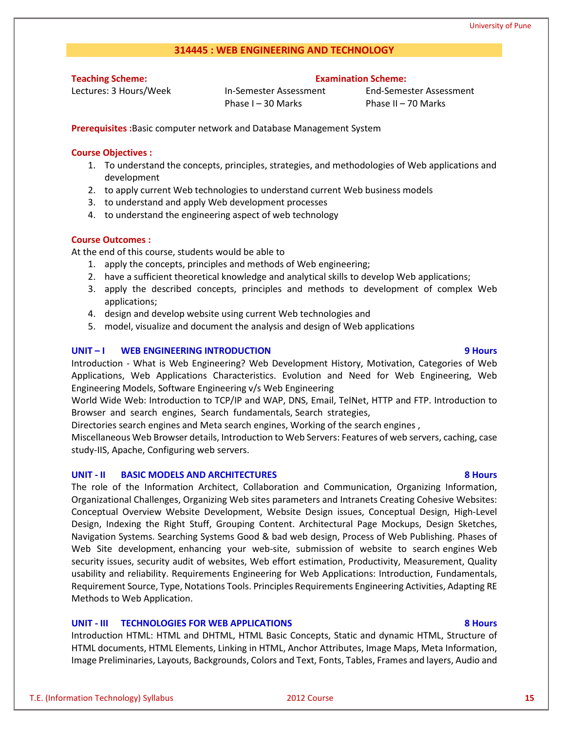### **314445 : WEB ENGINEERING AND TECHNOLOGY**

**Teaching Scheme:**

Lectures: 3 Hours/Week

In-Semester Assessment Phase I – 30 Marks

End-Semester Assessment Phase II – 70 Marks

**Examination Scheme:**

**Prerequisites :**Basic computer network and Database Management System

#### **Course Objectives :**

- 1. To understand the concepts, principles, strategies, and methodologies of Web applications and development
- 2. to apply current Web technologies to understand current Web business models
- 3. to understand and apply Web development processes
- 4. to understand the engineering aspect of web technology

#### **Course Outcomes :**

At the end of this course, students would be able to

- 1. apply the concepts, principles and methods of Web engineering;
- 2. have a sufficient theoretical knowledge and analytical skills to develop Web applications;
- 3. apply the described concepts, principles and methods to development of complex Web applications;
- 4. design and develop website using current Web technologies and
- 5. model, visualize and document the analysis and design of Web applications

#### **UNIT – I WEB ENGINEERING INTRODUCTION 9 Hours**

Introduction - What is Web Engineering? Web Development History, Motivation, Categories of Web Applications, Web Applications Characteristics. Evolution and Need for Web Engineering, Web Engineering Models, Software Engineering v/s Web Engineering

World Wide Web: Introduction to TCP/IP and WAP, DNS, Email, TelNet, HTTP and FTP. Introduction to Browser and search engines, Search fundamentals, Search strategies,

Directories search engines and Meta search engines, Working of the search engines ,

Miscellaneous Web Browser details, Introduction to Web Servers: Features of web servers, caching, case study-IIS, Apache, Configuring web servers.

#### **UNIT - II BASIC MODELS AND ARCHITECTURES 8 Hours**

The role of the Information Architect, Collaboration and Communication, Organizing Information, Organizational Challenges, Organizing Web sites parameters and Intranets Creating Cohesive Websites: Conceptual Overview Website Development, Website Design issues, Conceptual Design, High-Level Design, Indexing the Right Stuff, Grouping Content. Architectural Page Mockups, Design Sketches, Navigation Systems. Searching Systems Good & bad web design, Process of Web Publishing. Phases of Web Site development, enhancing your web-site, submission of website to search engines Web security issues, security audit of websites, Web effort estimation, Productivity, Measurement, Quality usability and reliability. Requirements Engineering for Web Applications: Introduction, Fundamentals, Requirement Source, Type, Notations Tools. Principles Requirements Engineering Activities, Adapting RE Methods to Web Application.

#### **UNIT - III TECHNOLOGIES FOR WEB APPLICATIONS 8 Hours**

Introduction HTML: HTML and DHTML, HTML Basic Concepts, Static and dynamic HTML, Structure of HTML documents, HTML Elements, Linking in HTML, Anchor Attributes, Image Maps, Meta Information, Image Preliminaries, Layouts, Backgrounds, Colors and Text, Fonts, Tables, Frames and layers, Audio and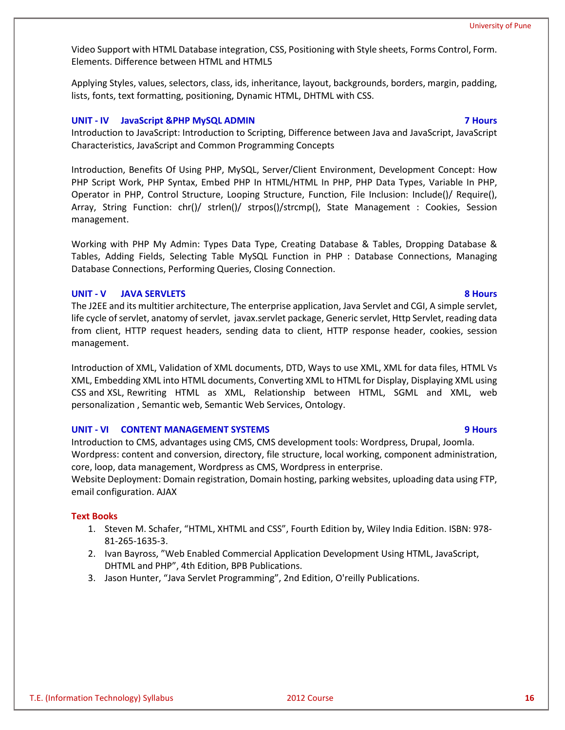Video Support with HTML Database integration, CSS, Positioning with Style sheets, Forms Control, Form. Elements. Difference between HTML and HTML5

Applying Styles, values, selectors, class, ids, inheritance, layout, backgrounds, borders, margin, padding, lists, fonts, text formatting, positioning, Dynamic HTML, DHTML with CSS.

#### **UNIT - IV JavaScript &PHP MySQL ADMIN 7 Hours**

Introduction to JavaScript: Introduction to Scripting, Difference between Java and JavaScript, JavaScript Characteristics, JavaScript and Common Programming Concepts

Introduction, Benefits Of Using PHP, MySQL, Server/Client Environment, Development Concept: How PHP Script Work, PHP Syntax, Embed PHP In HTML/HTML In PHP, PHP Data Types, Variable In PHP, Operator in PHP, Control Structure, Looping Structure, Function, File Inclusion: Include()/ Require(), Array, String Function: chr()/ strlen()/ strpos()/strcmp(), State Management : Cookies, Session management.

Working with PHP My Admin: Types Data Type, Creating Database & Tables, Dropping Database & Tables, Adding Fields, Selecting Table MySQL Function in PHP : Database Connections, Managing Database Connections, Performing Queries, Closing Connection.

#### **UNIT - V JAVA SERVLETS 8 Hours**

The J2EE and its multitier architecture, The enterprise application, Java Servlet and CGI, A simple servlet, life cycle of servlet, anatomy of servlet, javax.servlet package, Generic servlet, Http Servlet, reading data from client, HTTP request headers, sending data to client, HTTP response header, cookies, session management.

Introduction of XML, Validation of XML documents, DTD, Ways to use XML, XML for data files, HTML Vs XML, Embedding XML into HTML documents, Converting XML to HTML for Display, Displaying XML using CSS and XSL, Rewriting HTML as XML, Relationship between HTML, SGML and XML, web personalization , Semantic web, Semantic Web Services, Ontology.

#### **UNIT - VI CONTENT MANAGEMENT SYSTEMS 9 Hours**

Introduction to CMS, advantages using CMS, CMS development tools: Wordpress, Drupal, Joomla. Wordpress: content and conversion, directory, file structure, local working, component administration, core, loop, data management, Wordpress as CMS, Wordpress in enterprise.

Website Deployment: Domain registration, Domain hosting, parking websites, uploading data using FTP, email configuration. AJAX

#### **Text Books**

- 1. Steven M. Schafer, "HTML, XHTML and CSS", Fourth Edition by, Wiley India Edition. ISBN: 978- 81-265-1635-3.
- 2. Ivan Bayross, "Web Enabled Commercial Application Development Using HTML, JavaScript, DHTML and PHP", 4th Edition, BPB Publications.
- 3. Jason Hunter, "Java Servlet Programming", 2nd Edition, O'reilly Publications.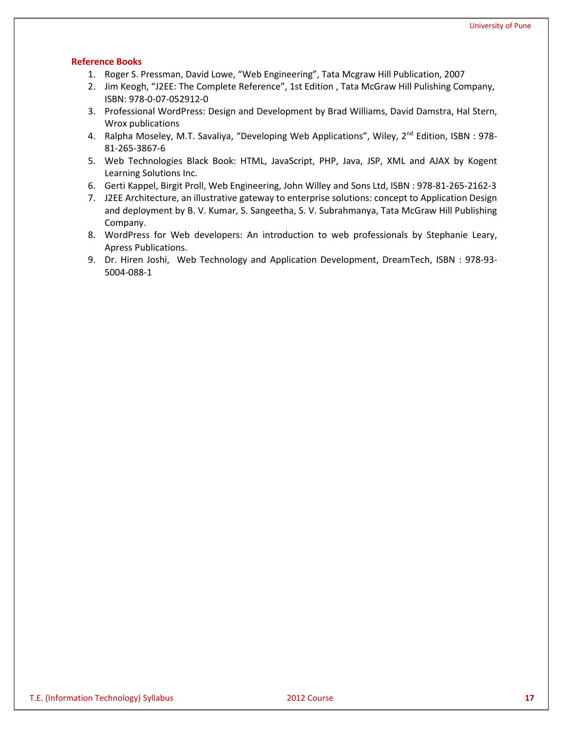- 1. Roger S. Pressman, David Lowe, "Web Engineering", Tata Mcgraw Hill Publication, 2007
- 2. Jim Keogh, "J2EE: The Complete Reference", 1st Edition , Tata McGraw Hill Pulishing Company, ISBN: 978-0-07-052912-0
- 3. Professional WordPress: Design and Development by Brad Williams, David Damstra, Hal Stern, Wrox publications
- 4. Ralpha Moseley, M.T. Savaliya, "Developing Web Applications", Wiley, 2<sup>nd</sup> Edition, ISBN : 978-81-265-3867-6
- 5. Web Technologies Black Book: HTML, JavaScript, PHP, Java, JSP, XML and AJAX by Kogent Learning Solutions Inc.
- 6. Gerti Kappel, Birgit Proll, Web Engineering, John Willey and Sons Ltd, ISBN : 978-81-265-2162-3
- 7. J2EE Architecture, an illustrative gateway to enterprise solutions: concept to Application Design and deployment by B. V. Kumar, S. Sangeetha, S. V. Subrahmanya, Tata McGraw Hill Publishing Company.
- 8. WordPress for Web developers: An introduction to web professionals by Stephanie Leary, Apress Publications.
- 9. Dr. Hiren Joshi, Web Technology and Application Development, DreamTech, ISBN : 978-93- 5004-088-1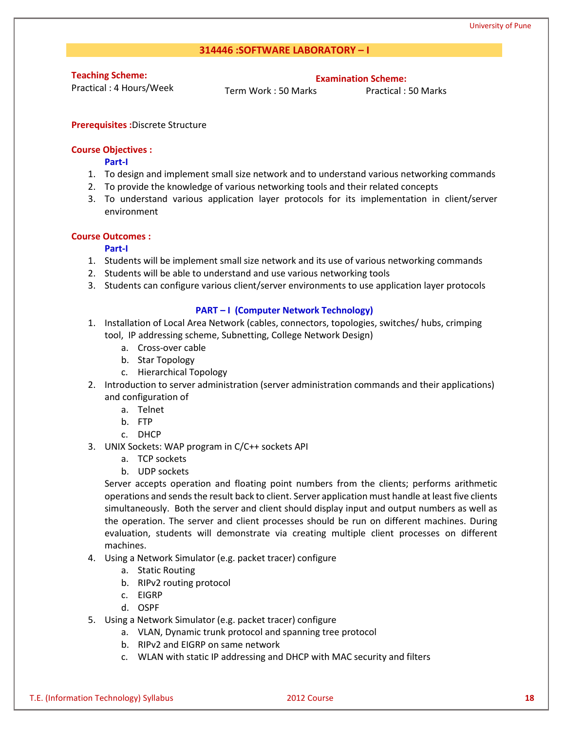### **314446 :SOFTWARE LABORATORY – I**

**Teaching Scheme:**

Practical : 4 Hours/Week

**Examination Scheme:**

Term Work : 50 Marks Practical : 50 Marks

#### **Prerequisites :**Discrete Structure

#### **Course Objectives :**

#### **Part-I**

- 1. To design and implement small size network and to understand various networking commands
- 2. To provide the knowledge of various networking tools and their related concepts
- 3. To understand various application layer protocols for its implementation in client/server environment

#### **Course Outcomes :**

#### **Part-I**

- 1. Students will be implement small size network and its use of various networking commands
- 2. Students will be able to understand and use various networking tools
- 3. Students can configure various client/server environments to use application layer protocols

#### **PART – I (Computer Network Technology)**

- 1. Installation of Local Area Network (cables, connectors, topologies, switches/ hubs, crimping tool, IP addressing scheme, Subnetting, College Network Design)
	- a. Cross-over cable
	- b. Star Topology
	- c. Hierarchical Topology
- 2. Introduction to server administration (server administration commands and their applications) and configuration of
	- a. Telnet
	- b. FTP
	- c. DHCP
- 3. UNIX Sockets: WAP program in C/C++ sockets API
	- a. TCP sockets
	- b. UDP sockets

Server accepts operation and floating point numbers from the clients; performs arithmetic operations and sends the result back to client. Server application must handle at least five clients simultaneously. Both the server and client should display input and output numbers as well as the operation. The server and client processes should be run on different machines. During evaluation, students will demonstrate via creating multiple client processes on different machines.

- 4. Using a Network Simulator (e.g. packet tracer) configure
	- a. Static Routing
	- b. RIPv2 routing protocol
	- c. EIGRP
	- d. OSPF
- 5. Using a Network Simulator (e.g. packet tracer) configure
	- a. VLAN, Dynamic trunk protocol and spanning tree protocol
	- b. RIPv2 and EIGRP on same network
	- c. WLAN with static IP addressing and DHCP with MAC security and filters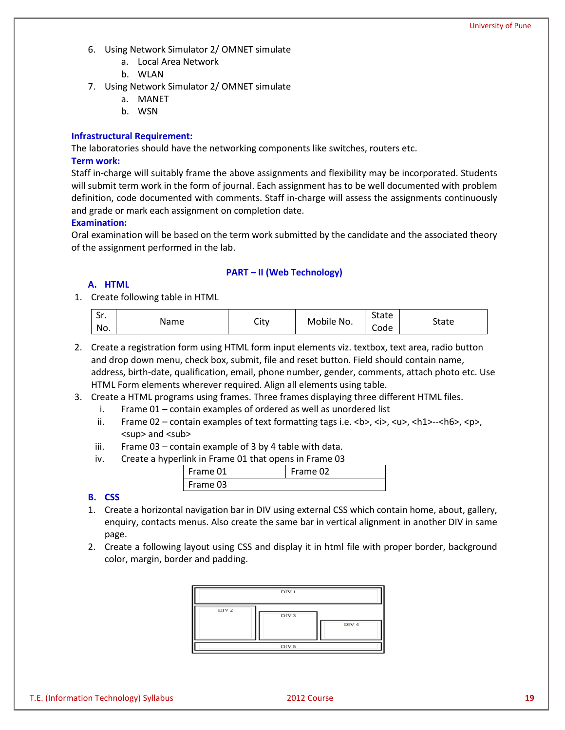- 6. Using Network Simulator 2/ OMNET simulate
	- a. Local Area Network
	- b. WLAN
- 7. Using Network Simulator 2/ OMNET simulate
	- a. MANET
	- b. WSN

### **Infrastructural Requirement:**

The laboratories should have the networking components like switches, routers etc. **Term work:**

Staff in-charge will suitably frame the above assignments and flexibility may be incorporated. Students will submit term work in the form of journal. Each assignment has to be well documented with problem definition, code documented with comments. Staff in-charge will assess the assignments continuously and grade or mark each assignment on completion date.

#### **Examination:**

Oral examination will be based on the term work submitted by the candidate and the associated theory of the assignment performed in the lab.

### **PART – II (Web Technology)**

### **A. HTML**

1. Create following table in HTML

| $\epsilon$<br>. اد<br>No. | Name | City | Mobile No. | <b>State</b><br>$\overline{\phantom{0}}$<br>Code | State |
|---------------------------|------|------|------------|--------------------------------------------------|-------|
|---------------------------|------|------|------------|--------------------------------------------------|-------|

- 2. Create a registration form using HTML form input elements viz. textbox, text area, radio button and drop down menu, check box, submit, file and reset button. Field should contain name, address, birth-date, qualification, email, phone number, gender, comments, attach photo etc. Use HTML Form elements wherever required. Align all elements using table.
- 3. Create a HTML programs using frames. Three frames displaying three different HTML files.
	- i. Frame 01 contain examples of ordered as well as unordered list
	- ii. Frame 02 contain examples of text formatting tags i.e.  $\langle b \rangle$ ,  $\langle i \rangle$ ,  $\langle u \rangle$ ,  $\langle h1 \rangle$ - $\langle h6 \rangle$ ,  $\langle p \rangle$ , sup</sub> and sub
	- iii. Frame  $03$  contain example of 3 by 4 table with data.
	- iv. Create a hyperlink in Frame 01 that opens in Frame 03

| Frame 01 | Frame 02 |
|----------|----------|
| Frame 03 |          |

#### **B. CSS**

- 1. Create a horizontal navigation bar in DIV using external CSS which contain home, about, gallery, enquiry, contacts menus. Also create the same bar in vertical alignment in another DIV in same page.
- 2. Create a following layout using CSS and display it in html file with proper border, background color, margin, border and padding.

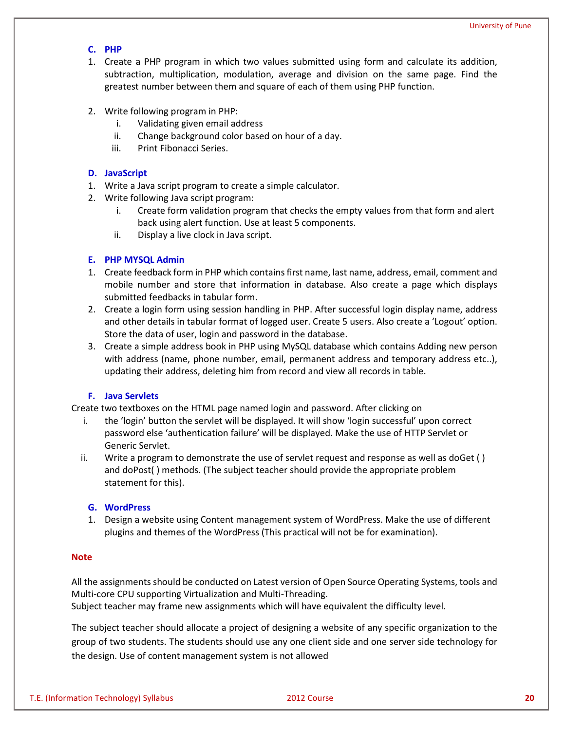### **C. PHP**

- 1. Create a PHP program in which two values submitted using form and calculate its addition, subtraction, multiplication, modulation, average and division on the same page. Find the greatest number between them and square of each of them using PHP function.
- 2. Write following program in PHP:
	- i. Validating given email address
	- ii. Change background color based on hour of a day.
	- iii. Print Fibonacci Series.

#### **D. JavaScript**

- 1. Write a Java script program to create a simple calculator.
- 2. Write following Java script program:
	- i. Create form validation program that checks the empty values from that form and alert back using alert function. Use at least 5 components.
	- ii. Display a live clock in Java script.

#### **E. PHP MYSQL Admin**

- 1. Create feedback form in PHP which contains first name, last name, address, email, comment and mobile number and store that information in database. Also create a page which displays submitted feedbacks in tabular form.
- 2. Create a login form using session handling in PHP. After successful login display name, address and other details in tabular format of logged user. Create 5 users. Also create a 'Logout' option. Store the data of user, login and password in the database.
- 3. Create a simple address book in PHP using MySQL database which contains Adding new person with address (name, phone number, email, permanent address and temporary address etc..), updating their address, deleting him from record and view all records in table.

#### **F. Java Servlets**

Create two textboxes on the HTML page named login and password. After clicking on

- i. the 'login' button the servlet will be displayed. It will show 'login successful' upon correct password else 'authentication failure' will be displayed. Make the use of HTTP Servlet or Generic Servlet.
- ii. Write a program to demonstrate the use of servlet request and response as well as doGet ( ) and doPost( ) methods. (The subject teacher should provide the appropriate problem statement for this).

#### **G. WordPress**

1. Design a website using Content management system of WordPress. Make the use of different plugins and themes of the WordPress (This practical will not be for examination).

#### **Note**

All the assignments should be conducted on Latest version of Open Source Operating Systems, tools and Multi-core CPU supporting Virtualization and Multi-Threading.

Subject teacher may frame new assignments which will have equivalent the difficulty level.

The subject teacher should allocate a project of designing a website of any specific organization to the group of two students. The students should use any one client side and one server side technology for the design. Use of content management system is not allowed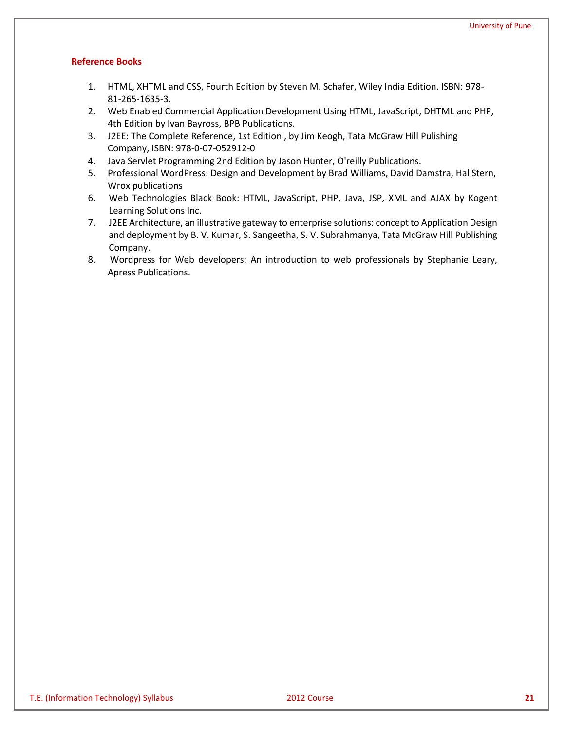- 1. HTML, XHTML and CSS, Fourth Edition by Steven M. Schafer, Wiley India Edition. ISBN: 978- 81-265-1635-3.
- 2. Web Enabled Commercial Application Development Using HTML, JavaScript, DHTML and PHP, 4th Edition by Ivan Bayross, BPB Publications.
- 3. J2EE: The Complete Reference, 1st Edition , by Jim Keogh, Tata McGraw Hill Pulishing Company, ISBN: 978-0-07-052912-0
- 4. Java Servlet Programming 2nd Edition by Jason Hunter, O'reilly Publications.
- 5. Professional WordPress: Design and Development by Brad Williams, David Damstra, Hal Stern, Wrox publications
- 6. Web Technologies Black Book: HTML, JavaScript, PHP, Java, JSP, XML and AJAX by Kogent Learning Solutions Inc.
- 7. J2EE Architecture, an illustrative gateway to enterprise solutions: concept to Application Design and deployment by B. V. Kumar, S. Sangeetha, S. V. Subrahmanya, Tata McGraw Hill Publishing Company.
- 8. Wordpress for Web developers: An introduction to web professionals by Stephanie Leary, Apress Publications.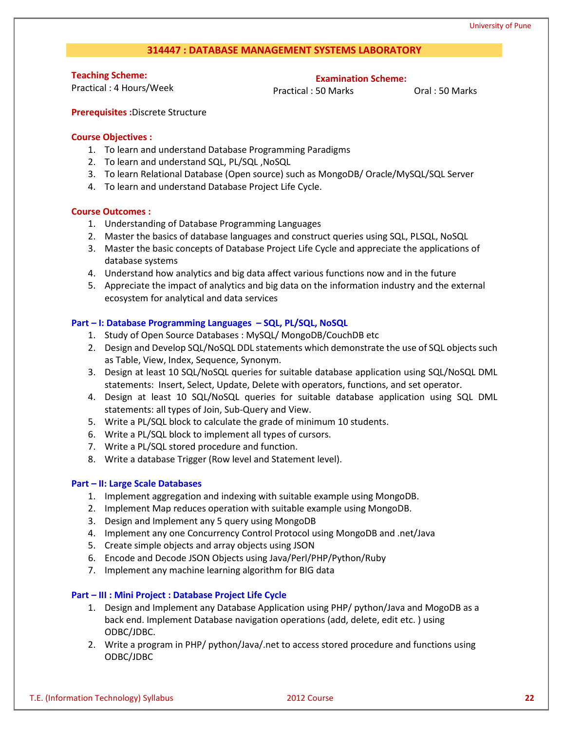#### **314447 : DATABASE MANAGEMENT SYSTEMS LABORATORY**

**Teaching Scheme:**

Practical : 4 Hours/Week

**Examination Scheme:**

Practical : 50 Marks **Oral : 50 Marks** 

**Prerequisites :**Discrete Structure

#### **Course Objectives :**

- 1. To learn and understand Database Programming Paradigms
- 2. To learn and understand SQL, PL/SQL ,NoSQL
- 3. To learn Relational Database (Open source) such as MongoDB/ Oracle/MySQL/SQL Server
- 4. To learn and understand Database Project Life Cycle.

### **Course Outcomes :**

- 1. Understanding of Database Programming Languages
- 2. Master the basics of database languages and construct queries using SQL, PLSQL, NoSQL
- 3. Master the basic concepts of Database Project Life Cycle and appreciate the applications of database systems
- 4. Understand how analytics and big data affect various functions now and in the future
- 5. Appreciate the impact of analytics and big data on the information industry and the external ecosystem for analytical and data services

### **Part – I: Database Programming Languages – SQL, PL/SQL, NoSQL**

- 1. Study of Open Source Databases : MySQL/ MongoDB/CouchDB etc
- 2. Design and Develop SQL/NoSQL DDL statements which demonstrate the use of SQL objects such as Table, View, Index, Sequence, Synonym.
- 3. Design at least 10 SQL/NoSQL queries for suitable database application using SQL/NoSQL DML statements: Insert, Select, Update, Delete with operators, functions, and set operator.
- 4. Design at least 10 SQL/NoSQL queries for suitable database application using SQL DML statements: all types of Join, Sub-Query and View.
- 5. Write a PL/SQL block to calculate the grade of minimum 10 students.
- 6. Write a PL/SQL block to implement all types of cursors.
- 7. Write a PL/SQL stored procedure and function.
- 8. Write a database Trigger (Row level and Statement level).

#### **Part – II: Large Scale Databases**

- 1. Implement aggregation and indexing with suitable example using MongoDB.
- 2. Implement Map reduces operation with suitable example using MongoDB.
- 3. Design and Implement any 5 query using MongoDB
- 4. Implement any one Concurrency Control Protocol using MongoDB and .net/Java
- 5. Create simple objects and array objects using JSON
- 6. Encode and Decode JSON Objects using Java/Perl/PHP/Python/Ruby
- 7. Implement any machine learning algorithm for BIG data

### **Part – III : Mini Project : Database Project Life Cycle**

- 1. Design and Implement any Database Application using PHP/ python/Java and MogoDB as a back end. Implement Database navigation operations (add, delete, edit etc. ) using ODBC/JDBC.
- 2. Write a program in PHP/ python/Java/.net to access stored procedure and functions using ODBC/JDBC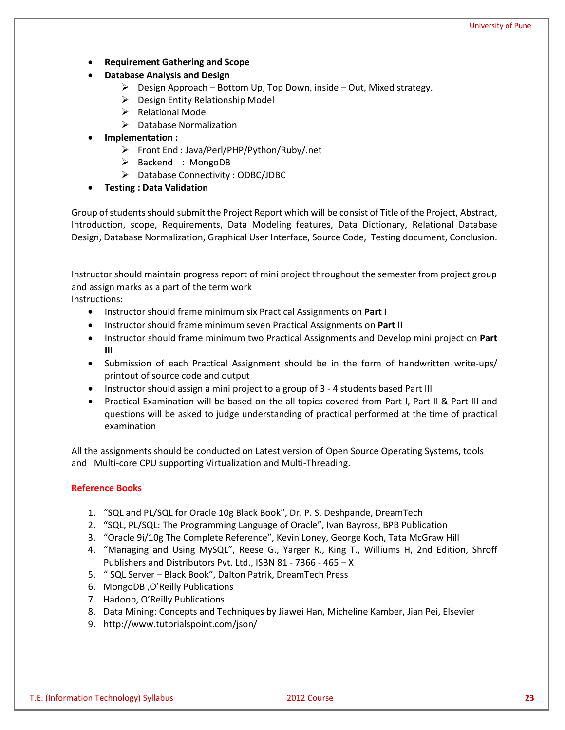University of Pune

- **Requirement Gathering and Scope**
- **Database Analysis and Design** 
	- $\triangleright$  Design Approach Bottom Up, Top Down, inside Out, Mixed strategy.
	- $\triangleright$  Design Entity Relationship Model
	- $\triangleright$  Relational Model
	- $\triangleright$  Database Normalization
- **Implementation :** 
	- Front End : Java/Perl/PHP/Python/Ruby/.net
	- $\triangleright$  Backend : MongoDB
	- $\triangleright$  Database Connectivity : ODBC/JDBC
- **Testing : Data Validation**

Group of students should submit the Project Report which will be consist of Title of the Project, Abstract, Introduction, scope, Requirements, Data Modeling features, Data Dictionary, Relational Database Design, Database Normalization, Graphical User Interface, Source Code, Testing document, Conclusion.

Instructor should maintain progress report of mini project throughout the semester from project group and assign marks as a part of the term work Instructions:

- Instructor should frame minimum six Practical Assignments on **Part I**
- Instructor should frame minimum seven Practical Assignments on **Part II**
- Instructor should frame minimum two Practical Assignments and Develop mini project on **Part III**
- Submission of each Practical Assignment should be in the form of handwritten write-ups/ printout of source code and output
- Instructor should assign a mini project to a group of 3 4 students based Part III
- Practical Examination will be based on the all topics covered from Part I, Part II & Part III and questions will be asked to judge understanding of practical performed at the time of practical examination

All the assignments should be conducted on Latest version of Open Source Operating Systems, tools and Multi-core CPU supporting Virtualization and Multi-Threading.

- 1. "SQL and PL/SQL for Oracle 10g Black Book", Dr. P. S. Deshpande, DreamTech
- 2. "SQL, PL/SQL: The Programming Language of Oracle", Ivan Bayross, BPB Publication
- 3. "Oracle 9i/10g The Complete Reference", Kevin Loney, George Koch, Tata McGraw Hill
- 4. "Managing and Using MySQL", Reese G., Yarger R., King T., Williums H, 2nd Edition, Shroff Publishers and Distributors Pvt. Ltd., ISBN 81 - 7366 - 465 – X
- 5. " SQL Server Black Book", Dalton Patrik, DreamTech Press
- 6. MongoDB ,O'Reilly Publications
- 7. Hadoop, O'Reilly Publications
- 8. Data Mining: Concepts and Techniques by Jiawei Han, Micheline Kamber, Jian Pei, Elsevier
- 9. http://www.tutorialspoint.com/json/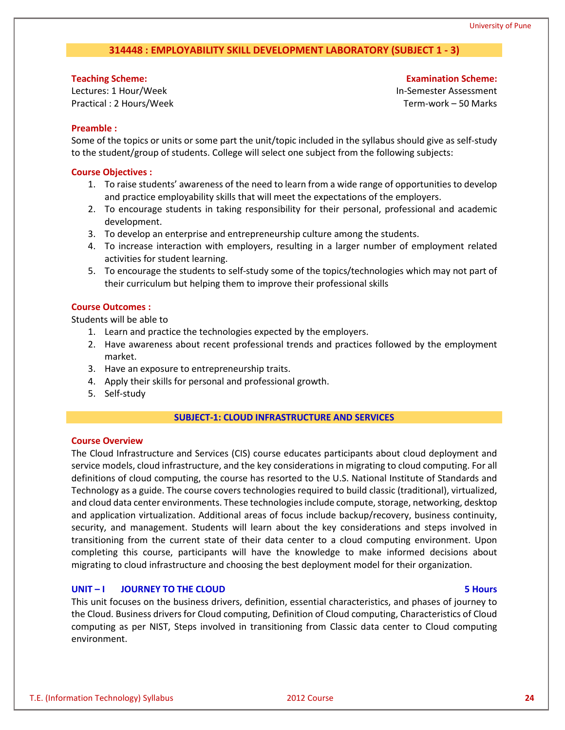### **314448 : EMPLOYABILITY SKILL DEVELOPMENT LABORATORY (SUBJECT 1 - 3)**

#### **Teaching Scheme:**

Lectures: 1 Hour/Week Practical : 2 Hours/Week

**Examination Scheme:** In-Semester Assessment Term-work – 50 Marks

#### **Preamble :**

Some of the topics or units or some part the unit/topic included in the syllabus should give as self-study to the student/group of students. College will select one subject from the following subjects:

#### **Course Objectives :**

- 1. To raise students' awareness of the need to learn from a wide range of opportunities to develop and practice employability skills that will meet the expectations of the employers.
- 2. To encourage students in taking responsibility for their personal, professional and academic development.
- 3. To develop an enterprise and entrepreneurship culture among the students.
- 4. To increase interaction with employers, resulting in a larger number of employment related activities for student learning.
- 5. To encourage the students to self-study some of the topics/technologies which may not part of their curriculum but helping them to improve their professional skills

#### **Course Outcomes :**

Students will be able to

- 1. Learn and practice the technologies expected by the employers.
- 2. Have awareness about recent professional trends and practices followed by the employment market.
- 3. Have an exposure to entrepreneurship traits.
- 4. Apply their skills for personal and professional growth.
- 5. Self-study

#### **SUBJECT-1: CLOUD INFRASTRUCTURE AND SERVICES**

#### **Course Overview**

The Cloud Infrastructure and Services (CIS) course educates participants about cloud deployment and service models, cloud infrastructure, and the key considerations in migrating to cloud computing. For all definitions of cloud computing, the course has resorted to the U.S. National Institute of Standards and Technology as a guide. The course covers technologies required to build classic (traditional), virtualized, and cloud data center environments. These technologies include compute, storage, networking, desktop and application virtualization. Additional areas of focus include backup/recovery, business continuity, security, and management. Students will learn about the key considerations and steps involved in transitioning from the current state of their data center to a cloud computing environment. Upon completing this course, participants will have the knowledge to make informed decisions about migrating to cloud infrastructure and choosing the best deployment model for their organization.

### **UNIT – I JOURNEY TO THE CLOUD 5 Hours**

This unit focuses on the business drivers, definition, essential characteristics, and phases of journey to the Cloud. Business drivers for Cloud computing, Definition of Cloud computing, Characteristics of Cloud computing as per NIST, Steps involved in transitioning from Classic data center to Cloud computing environment.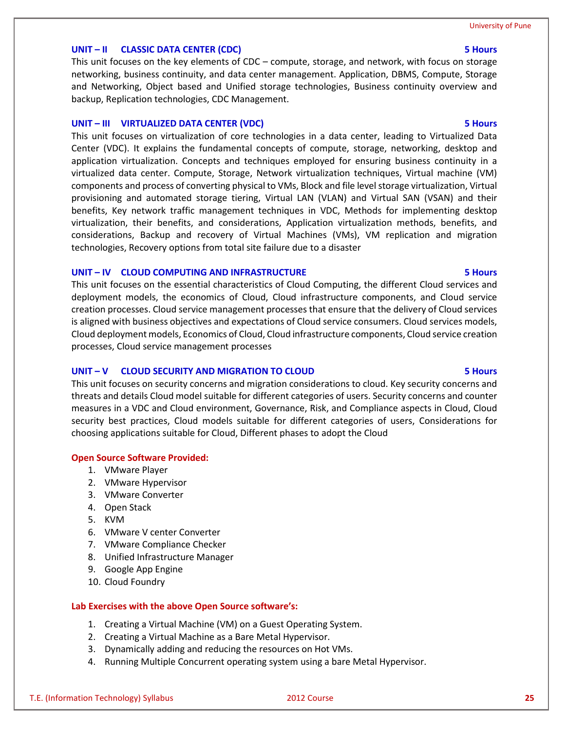# **UNIT – II CLASSIC DATA CENTER (CDC) 5 Hours**

This unit focuses on the key elements of CDC – compute, storage, and network, with focus on storage networking, business continuity, and data center management. Application, DBMS, Compute, Storage and Networking, Object based and Unified storage technologies, Business continuity overview and backup, Replication technologies, CDC Management.

### **UNIT – III VIRTUALIZED DATA CENTER (VDC) 5 Hours**

This unit focuses on virtualization of core technologies in a data center, leading to Virtualized Data Center (VDC). It explains the fundamental concepts of compute, storage, networking, desktop and application virtualization. Concepts and techniques employed for ensuring business continuity in a virtualized data center. Compute, Storage, Network virtualization techniques, Virtual machine (VM) components and process of converting physical to VMs, Block and file level storage virtualization, Virtual provisioning and automated storage tiering, Virtual LAN (VLAN) and Virtual SAN (VSAN) and their benefits, Key network traffic management techniques in VDC, Methods for implementing desktop virtualization, their benefits, and considerations, Application virtualization methods, benefits, and considerations, Backup and recovery of Virtual Machines (VMs), VM replication and migration technologies, Recovery options from total site failure due to a disaster

#### **UNIT – IV CLOUD COMPUTING AND INFRASTRUCTURE 5 Hours**

This unit focuses on the essential characteristics of Cloud Computing, the different Cloud services and deployment models, the economics of Cloud, Cloud infrastructure components, and Cloud service creation processes. Cloud service management processes that ensure that the delivery of Cloud services is aligned with business objectives and expectations of Cloud service consumers. Cloud services models, Cloud deployment models, Economics of Cloud, Cloud infrastructure components, Cloud service creation processes, Cloud service management processes

### **UNIT – V CLOUD SECURITY AND MIGRATION TO CLOUD 5 Hours**

This unit focuses on security concerns and migration considerations to cloud. Key security concerns and threats and details Cloud model suitable for different categories of users. Security concerns and counter measures in a VDC and Cloud environment, Governance, Risk, and Compliance aspects in Cloud, Cloud security best practices, Cloud models suitable for different categories of users, Considerations for choosing applications suitable for Cloud, Different phases to adopt the Cloud

#### **Open Source Software Provided:**

- 1. VMware Player
- 2. VMware Hypervisor
- 3. VMware Converter
- 4. Open Stack
- 5. KVM
- 6. VMware V center Converter
- 7. VMware Compliance Checker
- 8. Unified Infrastructure Manager
- 9. Google App Engine
- 10. Cloud Foundry

#### **Lab Exercises with the above Open Source software's:**

- 1. Creating a Virtual Machine (VM) on a Guest Operating System.
- 2. Creating a Virtual Machine as a Bare Metal Hypervisor.
- 3. Dynamically adding and reducing the resources on Hot VMs.
- 4. Running Multiple Concurrent operating system using a bare Metal Hypervisor.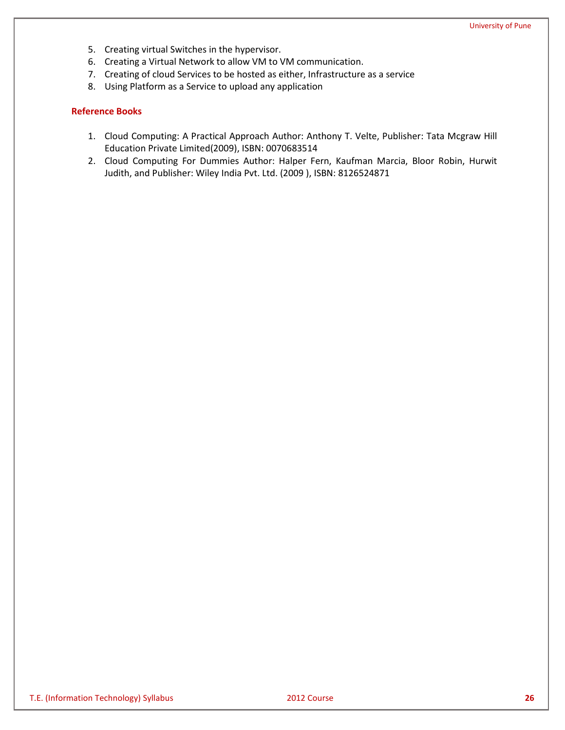- 5. Creating virtual Switches in the hypervisor.
- 6. Creating a Virtual Network to allow VM to VM communication.
- 7. Creating of cloud Services to be hosted as either, Infrastructure as a service
- 8. Using Platform as a Service to upload any application

- 1. Cloud Computing: A Practical Approach Author: Anthony T. Velte, Publisher: Tata Mcgraw Hill Education Private Limited(2009), ISBN: 0070683514
- 2. Cloud Computing For Dummies Author: Halper Fern, Kaufman Marcia, Bloor Robin, Hurwit Judith, and Publisher: Wiley India Pvt. Ltd. (2009 ), ISBN: 8126524871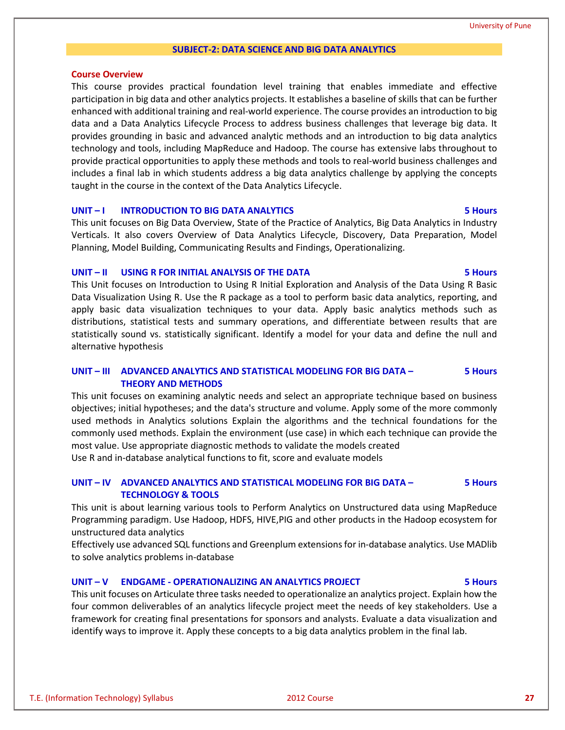#### University of Pune

#### **SUBJECT-2: DATA SCIENCE AND BIG DATA ANALYTICS**

#### **Course Overview**

This course provides practical foundation level training that enables immediate and effective participation in big data and other analytics projects. It establishes a baseline of skills that can be further enhanced with additional training and real-world experience. The course provides an introduction to big data and a Data Analytics Lifecycle Process to address business challenges that leverage big data. It provides grounding in basic and advanced analytic methods and an introduction to big data analytics technology and tools, including MapReduce and Hadoop. The course has extensive labs throughout to provide practical opportunities to apply these methods and tools to real-world business challenges and includes a final lab in which students address a big data analytics challenge by applying the concepts taught in the course in the context of the Data Analytics Lifecycle.

#### **UNIT – I INTRODUCTION TO BIG DATA ANALYTICS 5 Hours**

This unit focuses on Big Data Overview, State of the Practice of Analytics, Big Data Analytics in Industry Verticals. It also covers Overview of Data Analytics Lifecycle, Discovery, Data Preparation, Model Planning, Model Building, Communicating Results and Findings, Operationalizing.

#### **UNIT – II USING R FOR INITIAL ANALYSIS OF THE DATA 5 Hours**

This Unit focuses on Introduction to Using R Initial Exploration and Analysis of the Data Using R Basic Data Visualization Using R. Use the R package as a tool to perform basic data analytics, reporting, and apply basic data visualization techniques to your data. Apply basic analytics methods such as distributions, statistical tests and summary operations, and differentiate between results that are statistically sound vs. statistically significant. Identify a model for your data and define the null and alternative hypothesis

#### **UNIT – III ADVANCED ANALYTICS AND STATISTICAL MODELING FOR BIG DATA – THEORY AND METHODS 5 Hours**

This unit focuses on examining analytic needs and select an appropriate technique based on business objectives; initial hypotheses; and the data's structure and volume. Apply some of the more commonly used methods in Analytics solutions Explain the algorithms and the technical foundations for the commonly used methods. Explain the environment (use case) in which each technique can provide the most value. Use appropriate diagnostic methods to validate the models created Use R and in-database analytical functions to fit, score and evaluate models

#### **UNIT – IV ADVANCED ANALYTICS AND STATISTICAL MODELING FOR BIG DATA – TECHNOLOGY & TOOLS 5 Hours**

This unit is about learning various tools to Perform Analytics on Unstructured data using MapReduce Programming paradigm. Use Hadoop, HDFS, HIVE,PIG and other products in the Hadoop ecosystem for unstructured data analytics

Effectively use advanced SQL functions and Greenplum extensions for in-database analytics. Use MADlib to solve analytics problems in-database

#### **UNIT – V ENDGAME - OPERATIONALIZING AN ANALYTICS PROJECT 5 Hours**

This unit focuses on Articulate three tasks needed to operationalize an analytics project. Explain how the four common deliverables of an analytics lifecycle project meet the needs of key stakeholders. Use a framework for creating final presentations for sponsors and analysts. Evaluate a data visualization and identify ways to improve it. Apply these concepts to a big data analytics problem in the final lab.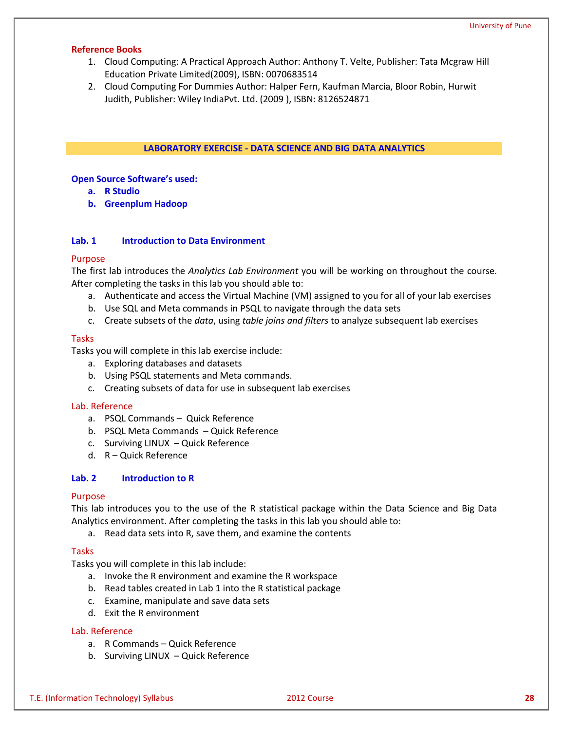#### **Reference Books**

- 1. Cloud Computing: A Practical Approach Author: Anthony T. Velte, Publisher: Tata Mcgraw Hill Education Private Limited(2009), ISBN: 0070683514
- 2. Cloud Computing For Dummies Author: Halper Fern, Kaufman Marcia, Bloor Robin, Hurwit Judith, Publisher: Wiley IndiaPvt. Ltd. (2009 ), ISBN: 8126524871

#### **LABORATORY EXERCISE - DATA SCIENCE AND BIG DATA ANALYTICS**

#### **Open Source Software's used:**

- **a. R Studio**
- **b. Greenplum Hadoop**

#### **Lab. 1 Introduction to Data Environment**

#### Purpose

The first lab introduces the *Analytics Lab Environment* you will be working on throughout the course. After completing the tasks in this lab you should able to:

- a. Authenticate and access the Virtual Machine (VM) assigned to you for all of your lab exercises
- b. Use SQL and Meta commands in PSQL to navigate through the data sets
- c. Create subsets of the *data*, using *table joins and filters* to analyze subsequent lab exercises

#### **Tasks**

Tasks you will complete in this lab exercise include:

- a. Exploring databases and datasets
- b. Using PSQL statements and Meta commands.
- c. Creating subsets of data for use in subsequent lab exercises

#### Lab. Reference

- a. PSQL Commands Quick Reference
- b. PSQL Meta Commands Quick Reference
- c. Surviving LINUX Quick Reference
- d. R Quick Reference

#### **Lab. 2 Introduction to R**

#### Purpose

This lab introduces you to the use of the R statistical package within the Data Science and Big Data Analytics environment. After completing the tasks in this lab you should able to:

a. Read data sets into R, save them, and examine the contents

#### Tasks

Tasks you will complete in this lab include:

- a. Invoke the R environment and examine the R workspace
- b. Read tables created in Lab 1 into the R statistical package
- c. Examine, manipulate and save data sets
- d. Exit the R environment

### Lab. Reference

- a. R Commands Quick Reference
- b. Surviving LINUX Quick Reference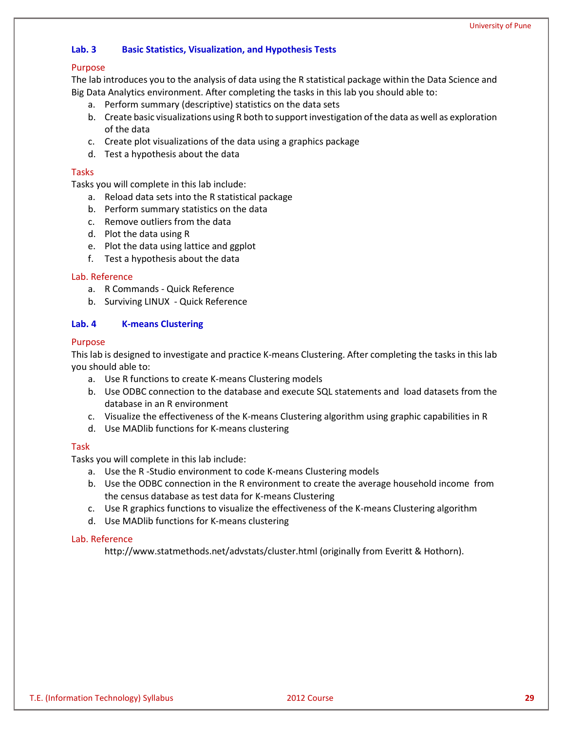### **Lab. 3 Basic Statistics, Visualization, and Hypothesis Tests**

#### Purpose

The lab introduces you to the analysis of data using the R statistical package within the Data Science and Big Data Analytics environment. After completing the tasks in this lab you should able to:

- a. Perform summary (descriptive) statistics on the data sets
- b. Create basic visualizations using R both to support investigation of the data as well as exploration of the data
- c. Create plot visualizations of the data using a graphics package
- d. Test a hypothesis about the data

#### Tasks

Tasks you will complete in this lab include:

- a. Reload data sets into the R statistical package
- b. Perform summary statistics on the data
- c. Remove outliers from the data
- d. Plot the data using R
- e. Plot the data using lattice and ggplot
- f. Test a hypothesis about the data

#### Lab. Reference

- a. R Commands Quick Reference
- b. Surviving LINUX Quick Reference

### **Lab. 4 K-means Clustering**

#### Purpose

This lab is designed to investigate and practice K-means Clustering. After completing the tasks in this lab you should able to:

- a. Use R functions to create K-means Clustering models
- b. Use ODBC connection to the database and execute SQL statements and load datasets from the database in an R environment
- c. Visualize the effectiveness of the K-means Clustering algorithm using graphic capabilities in R
- d. Use MADlib functions for K-means clustering

#### Task

Tasks you will complete in this lab include:

- a. Use the R -Studio environment to code K-means Clustering models
- b. Use the ODBC connection in the R environment to create the average household income from the census database as test data for K-means Clustering
- c. Use R graphics functions to visualize the effectiveness of the K-means Clustering algorithm
- d. Use MADlib functions for K-means clustering

#### Lab. Reference

http://www.statmethods.net/advstats/cluster.html (originally from Everitt & Hothorn).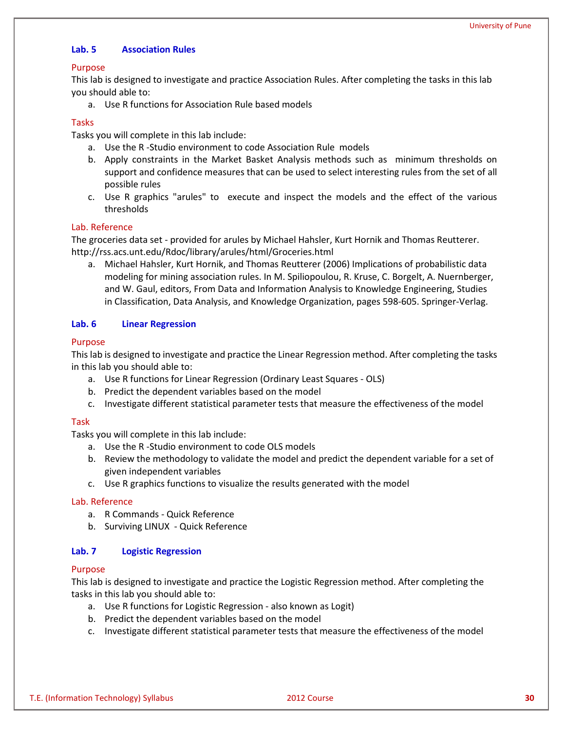### **Lab. 5 Association Rules**

#### Purpose

This lab is designed to investigate and practice Association Rules. After completing the tasks in this lab you should able to:

a. Use R functions for Association Rule based models

### Tasks

Tasks you will complete in this lab include:

- a. Use the R -Studio environment to code Association Rule models
- b. Apply constraints in the Market Basket Analysis methods such as minimum thresholds on support and confidence measures that can be used to select interesting rules from the set of all possible rules
- c. Use R graphics "arules" to execute and inspect the models and the effect of the various thresholds

#### Lab. Reference

The groceries data set - provided for arules by Michael Hahsler, Kurt Hornik and Thomas Reutterer. http://rss.acs.unt.edu/Rdoc/library/arules/html/Groceries.html

a. Michael Hahsler, Kurt Hornik, and Thomas Reutterer (2006) Implications of probabilistic data modeling for mining association rules. In M. Spiliopoulou, R. Kruse, C. Borgelt, A. Nuernberger, and W. Gaul, editors, From Data and Information Analysis to Knowledge Engineering, Studies in Classification, Data Analysis, and Knowledge Organization, pages 598-605. Springer-Verlag.

### **Lab. 6 Linear Regression**

### Purpose

This lab is designed to investigate and practice the Linear Regression method. After completing the tasks in this lab you should able to:

- a. Use R functions for Linear Regression (Ordinary Least Squares OLS)
- b. Predict the dependent variables based on the model
- c. Investigate different statistical parameter tests that measure the effectiveness of the model

#### Task

Tasks you will complete in this lab include:

- a. Use the R -Studio environment to code OLS models
- b. Review the methodology to validate the model and predict the dependent variable for a set of given independent variables
- c. Use R graphics functions to visualize the results generated with the model

#### Lab. Reference

- a. R Commands Quick Reference
- b. Surviving LINUX Quick Reference

#### **Lab. 7 Logistic Regression**

#### Purpose

This lab is designed to investigate and practice the Logistic Regression method. After completing the tasks in this lab you should able to:

- a. Use R functions for Logistic Regression also known as Logit)
- b. Predict the dependent variables based on the model
- c. Investigate different statistical parameter tests that measure the effectiveness of the model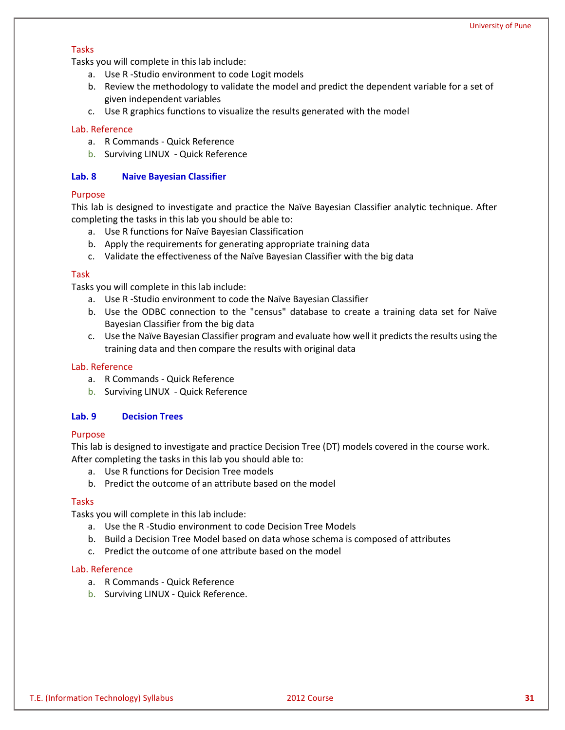#### Tasks

Tasks you will complete in this lab include:

- a. Use R -Studio environment to code Logit models
- b. Review the methodology to validate the model and predict the dependent variable for a set of given independent variables
- c. Use R graphics functions to visualize the results generated with the model

### Lab. Reference

- a. R Commands Quick Reference
- b. Surviving LINUX Quick Reference

### **Lab. 8 Naive Bayesian Classifier**

### Purpose

This lab is designed to investigate and practice the Naïve Bayesian Classifier analytic technique. After completing the tasks in this lab you should be able to:

- a. Use R functions for Naïve Bayesian Classification
- b. Apply the requirements for generating appropriate training data
- c. Validate the effectiveness of the Naïve Bayesian Classifier with the big data

### Task

Tasks you will complete in this lab include:

- a. Use R -Studio environment to code the Naïve Bayesian Classifier
- b. Use the ODBC connection to the "census" database to create a training data set for Naïve Bayesian Classifier from the big data
- c. Use the Naïve Bayesian Classifier program and evaluate how well it predicts the results using the training data and then compare the results with original data

#### Lab. Reference

- a. R Commands Quick Reference
- b. Surviving LINUX Quick Reference

### **Lab. 9 Decision Trees**

#### Purpose

This lab is designed to investigate and practice Decision Tree (DT) models covered in the course work. After completing the tasks in this lab you should able to:

- a. Use R functions for Decision Tree models
- b. Predict the outcome of an attribute based on the model

#### Tasks

Tasks you will complete in this lab include:

- a. Use the R -Studio environment to code Decision Tree Models
- b. Build a Decision Tree Model based on data whose schema is composed of attributes
- c. Predict the outcome of one attribute based on the model

#### Lab. Reference

- a. R Commands Quick Reference
- b. Surviving LINUX Quick Reference.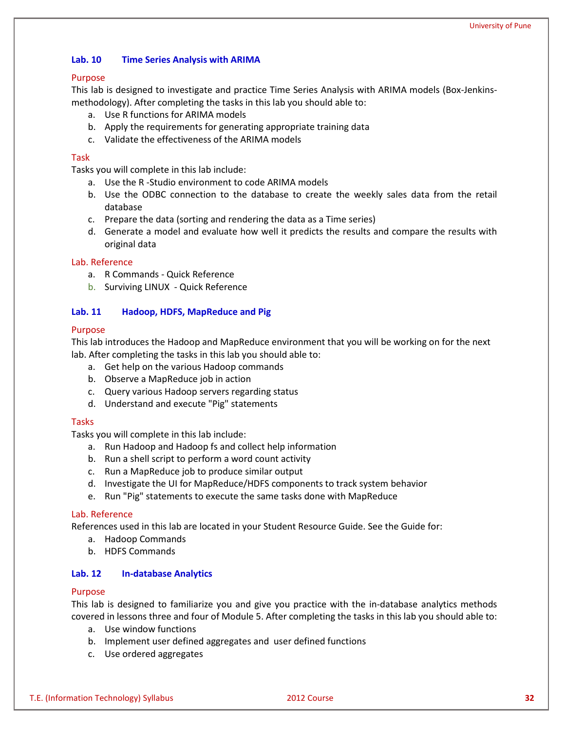### **Lab. 10 Time Series Analysis with ARIMA**

#### Purpose

This lab is designed to investigate and practice Time Series Analysis with ARIMA models (Box-Jenkinsmethodology). After completing the tasks in this lab you should able to:

- a. Use R functions for ARIMA models
- b. Apply the requirements for generating appropriate training data
- c. Validate the effectiveness of the ARIMA models

### Task

Tasks you will complete in this lab include:

- a. Use the R -Studio environment to code ARIMA models
- b. Use the ODBC connection to the database to create the weekly sales data from the retail database
- c. Prepare the data (sorting and rendering the data as a Time series)
- d. Generate a model and evaluate how well it predicts the results and compare the results with original data

#### Lab. Reference

- a. R Commands Quick Reference
- b. Surviving LINUX Quick Reference

### **Lab. 11 Hadoop, HDFS, MapReduce and Pig**

#### Purpose

This lab introduces the Hadoop and MapReduce environment that you will be working on for the next lab. After completing the tasks in this lab you should able to:

- a. Get help on the various Hadoop commands
- b. Observe a MapReduce job in action
- c. Query various Hadoop servers regarding status
- d. Understand and execute "Pig" statements

#### Tasks

Tasks you will complete in this lab include:

- a. Run Hadoop and Hadoop fs and collect help information
- b. Run a shell script to perform a word count activity
- c. Run a MapReduce job to produce similar output
- d. Investigate the UI for MapReduce/HDFS components to track system behavior
- e. Run "Pig" statements to execute the same tasks done with MapReduce

#### Lab. Reference

References used in this lab are located in your Student Resource Guide. See the Guide for:

- a. Hadoop Commands
- b. HDFS Commands

#### **Lab. 12 In-database Analytics**

#### Purpose

This lab is designed to familiarize you and give you practice with the in-database analytics methods covered in lessons three and four of Module 5. After completing the tasks in this lab you should able to:

- a. Use window functions
- b. Implement user defined aggregates and user defined functions
- c. Use ordered aggregates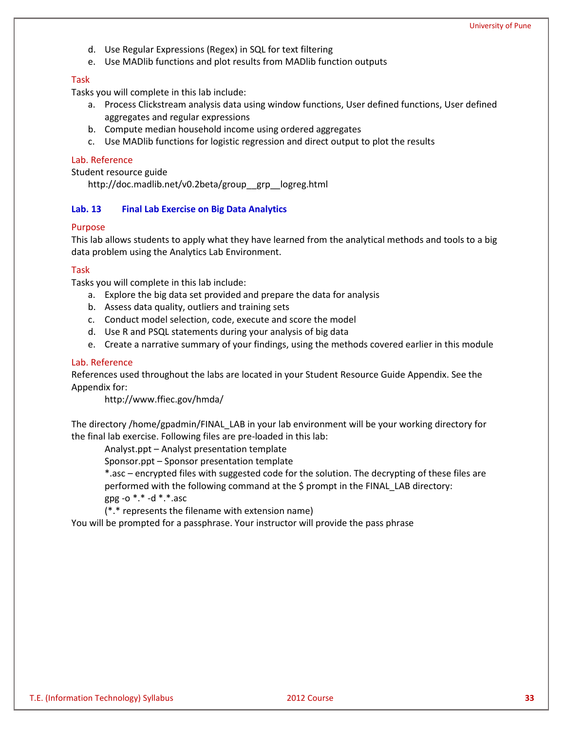- d. Use Regular Expressions (Regex) in SQL for text filtering
- e. Use MADlib functions and plot results from MADlib function outputs

#### Task

Tasks you will complete in this lab include:

- a. Process Clickstream analysis data using window functions, User defined functions, User defined aggregates and regular expressions
- b. Compute median household income using ordered aggregates
- c. Use MADlib functions for logistic regression and direct output to plot the results

#### Lab. Reference

Student resource guide http://doc.madlib.net/v0.2beta/group\_\_grp\_\_logreg.html

### **Lab. 13 Final Lab Exercise on Big Data Analytics**

#### Purpose

This lab allows students to apply what they have learned from the analytical methods and tools to a big data problem using the Analytics Lab Environment.

#### Task

Tasks you will complete in this lab include:

- a. Explore the big data set provided and prepare the data for analysis
- b. Assess data quality, outliers and training sets
- c. Conduct model selection, code, execute and score the model
- d. Use R and PSQL statements during your analysis of big data
- e. Create a narrative summary of your findings, using the methods covered earlier in this module

#### Lab. Reference

References used throughout the labs are located in your Student Resource Guide Appendix. See the Appendix for:

http://www.ffiec.gov/hmda/

The directory /home/gpadmin/FINAL\_LAB in your lab environment will be your working directory for the final lab exercise. Following files are pre-loaded in this lab:

Analyst.ppt – Analyst presentation template

Sponsor.ppt – Sponsor presentation template

\*.asc – encrypted files with suggested code for the solution. The decrypting of these files are performed with the following command at the \$ prompt in the FINAL\_LAB directory: gpg -o  $*.*$  -d  $*.*.*$  asc

(\*.\* represents the filename with extension name)

You will be prompted for a passphrase. Your instructor will provide the pass phrase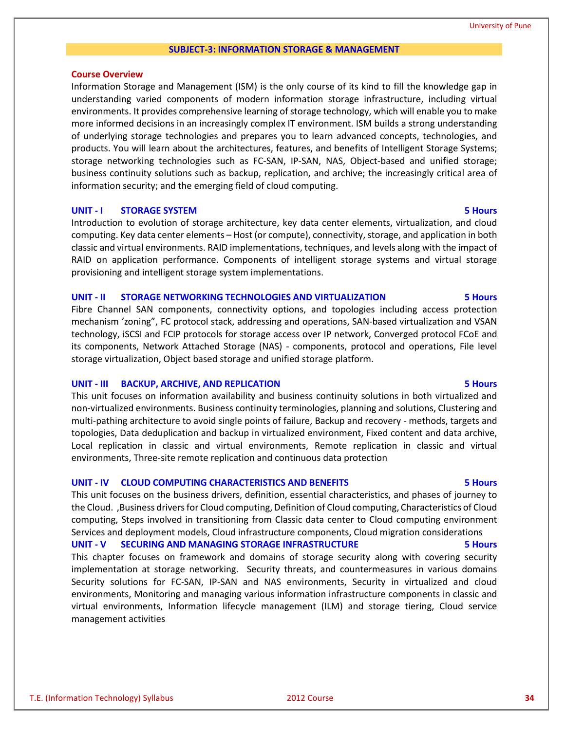#### University of Pune

#### **SUBJECT-3: INFORMATION STORAGE & MANAGEMENT**

#### **Course Overview**

Information Storage and Management (ISM) is the only course of its kind to fill the knowledge gap in understanding varied components of modern information storage infrastructure, including virtual environments. It provides comprehensive learning of storage technology, which will enable you to make more informed decisions in an increasingly complex IT environment. ISM builds a strong understanding of underlying storage technologies and prepares you to learn advanced concepts, technologies, and products. You will learn about the architectures, features, and benefits of Intelligent Storage Systems; storage networking technologies such as FC-SAN, IP-SAN, NAS, Object-based and unified storage; business continuity solutions such as backup, replication, and archive; the increasingly critical area of information security; and the emerging field of cloud computing.

#### **UNIT - I STORAGE SYSTEM 5 Hours**

Introduction to evolution of storage architecture, key data center elements, virtualization, and cloud computing. Key data center elements – Host (or compute), connectivity, storage, and application in both classic and virtual environments. RAID implementations, techniques, and levels along with the impact of RAID on application performance. Components of intelligent storage systems and virtual storage provisioning and intelligent storage system implementations.

#### **UNIT - II STORAGE NETWORKING TECHNOLOGIES AND VIRTUALIZATION 5 Hours**

Fibre Channel SAN components, connectivity options, and topologies including access protection mechanism 'zoning", FC protocol stack, addressing and operations, SAN-based virtualization and VSAN technology, iSCSI and FCIP protocols for storage access over IP network, Converged protocol FCoE and its components, Network Attached Storage (NAS) - components, protocol and operations, File level storage virtualization, Object based storage and unified storage platform.

#### **UNIT - III BACKUP, ARCHIVE, AND REPLICATION 5 Hours**

This unit focuses on information availability and business continuity solutions in both virtualized and non-virtualized environments. Business continuity terminologies, planning and solutions, Clustering and multi-pathing architecture to avoid single points of failure, Backup and recovery - methods, targets and topologies, Data deduplication and backup in virtualized environment, Fixed content and data archive, Local replication in classic and virtual environments, Remote replication in classic and virtual environments, Three-site remote replication and continuous data protection

#### **UNIT - IV CLOUD COMPUTING CHARACTERISTICS AND BENEFITS 5 Hours**

This unit focuses on the business drivers, definition, essential characteristics, and phases of journey to the Cloud. ,Business drivers for Cloud computing, Definition of Cloud computing, Characteristics of Cloud computing, Steps involved in transitioning from Classic data center to Cloud computing environment Services and deployment models, Cloud infrastructure components, Cloud migration considerations

**UNIT - V SECURING AND MANAGING STORAGE INFRASTRUCTURE 5 Hours** This chapter focuses on framework and domains of storage security along with covering security implementation at storage networking. Security threats, and countermeasures in various domains Security solutions for FC-SAN, IP-SAN and NAS environments, Security in virtualized and cloud environments, Monitoring and managing various information infrastructure components in classic and virtual environments, Information lifecycle management (ILM) and storage tiering, Cloud service management activities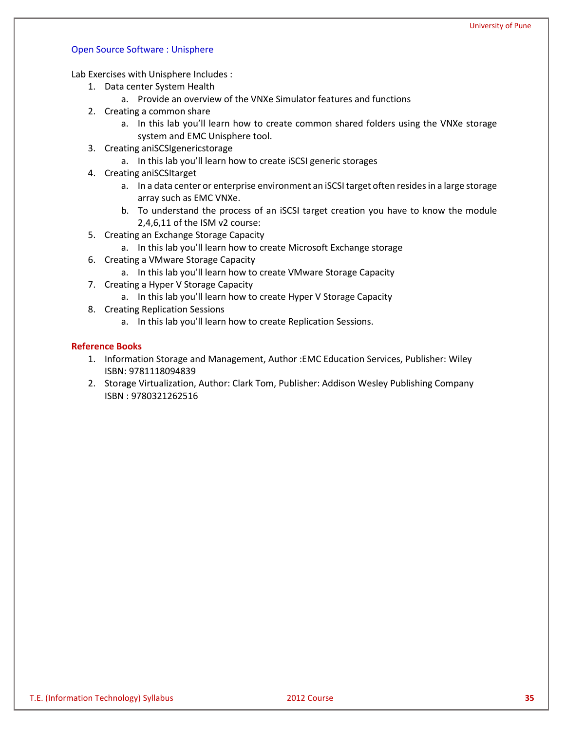#### Open Source Software : Unisphere

Lab Exercises with Unisphere Includes :

- 1. Data center System Health
	- a. Provide an overview of the VNXe Simulator features and functions
- 2. Creating a common share
	- a. In this lab you'll learn how to create common shared folders using the VNXe storage system and EMC Unisphere tool.
- 3. Creating aniSCSIgenericstorage
	- a. In this lab you'll learn how to create iSCSI generic storages
- 4. Creating aniSCSItarget
	- a. In a data center or enterprise environment a[n iSCSI](http://en.wikipedia.org/wiki/ISCSI) target often resides in a large storage array such as EMC VNXe.
	- b. To understand the process of an iSCSI target creation you have to know the module 2,4,6,11 of the ISM v2 course:
- 5. Creating an Exchange Storage Capacity
	- a. In this lab you'll learn how to create Microsoft Exchange storage
- 6. Creating a VMware Storage Capacity
	- a. In this lab you'll learn how to create VMware Storage Capacity
- 7. Creating a Hyper V Storage Capacity
	- a. In this lab you'll learn how to create Hyper V Storage Capacity
- 8. Creating Replication Sessions
	- a. In this lab you'll learn how to create Replication Sessions.

- 1. Information Storage and Management, Author :EMC Education Services, Publisher: Wiley ISBN: 9781118094839
- 2. Storage Virtualization, Author: Clark Tom, Publisher: Addison Wesley Publishing Company ISBN : 9780321262516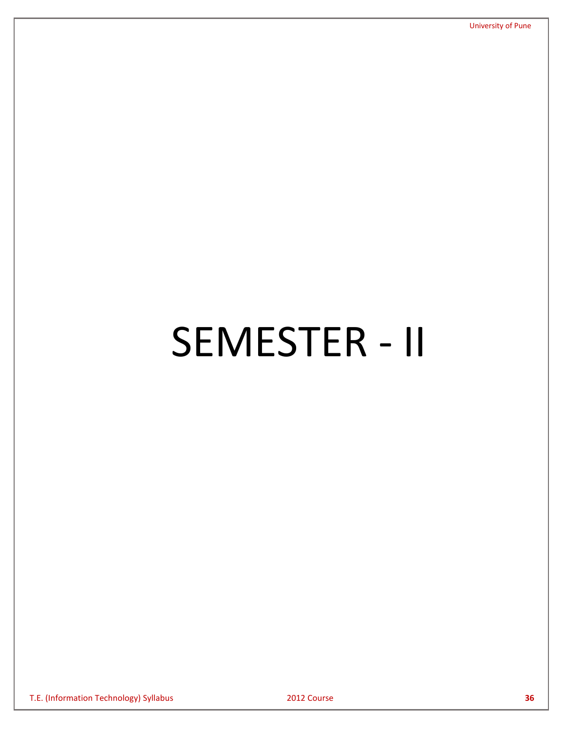# SEMESTER - II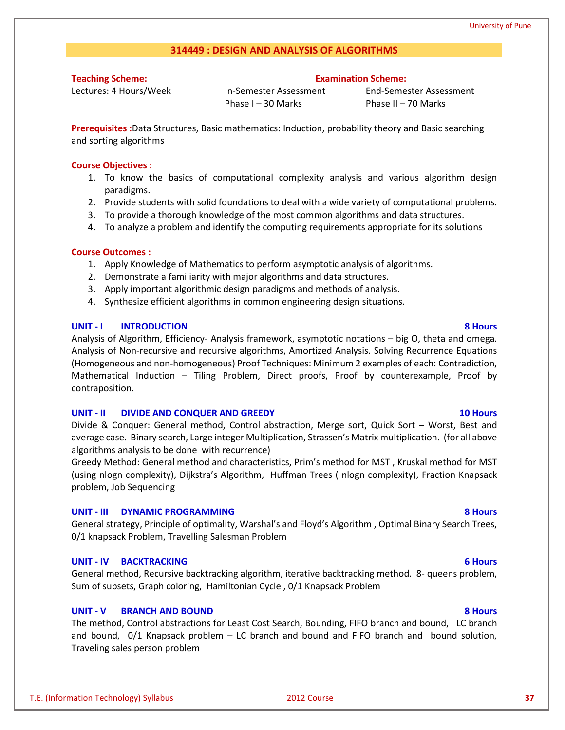# **314449 : DESIGN AND ANALYSIS OF ALGORITHMS**

**Teaching Scheme:**

Lectures: 4 Hours/Week

### **Examination Scheme:**

In-Semester Assessment Phase I – 30 Marks

End-Semester Assessment Phase II – 70 Marks

**Prerequisites :**Data Structures, Basic mathematics: Induction, probability theory and Basic searching and sorting algorithms

### **Course Objectives :**

- 1. To know the basics of computational complexity analysis and various algorithm design paradigms.
- 2. Provide students with solid foundations to deal with a wide variety of computational problems.
- 3. To provide a thorough knowledge of the most common algorithms and data structures.
- 4. To analyze a problem and identify the computing requirements appropriate for its solutions

### **Course Outcomes :**

- 1. Apply Knowledge of Mathematics to perform asymptotic analysis of algorithms.
- 2. Demonstrate a familiarity with major algorithms and data structures.
- 3. Apply important algorithmic design paradigms and methods of analysis.
- 4. Synthesize efficient algorithms in common engineering design situations.

### **UNIT - I INTRODUCTION 8 Hours**

Analysis of Algorithm, Efficiency- Analysis framework, asymptotic notations – big O, theta and omega. Analysis of Non-recursive and recursive algorithms, Amortized Analysis. Solving Recurrence Equations (Homogeneous and non-homogeneous) Proof Techniques: Minimum 2 examples of each: Contradiction, Mathematical Induction – Tiling Problem, Direct proofs, Proof by counterexample, Proof by contraposition.

### **UNIT - II DIVIDE AND CONQUER AND GREEDY 10 Hours**

Divide & Conquer: General method, Control abstraction, Merge sort, Quick Sort – Worst, Best and average case. Binary search, Large integer Multiplication, Strassen's Matrix multiplication. (for all above algorithms analysis to be done with recurrence)

Greedy Method: General method and characteristics, Prim's method for MST , Kruskal method for MST (using nlogn complexity), Dijkstra's Algorithm, Huffman Trees ( nlogn complexity), Fraction Knapsack problem, Job Sequencing

### **UNIT - III DYNAMIC PROGRAMMING 8 Hours**

General strategy, Principle of optimality, Warshal's and Floyd's Algorithm , Optimal Binary Search Trees, 0/1 knapsack Problem, Travelling Salesman Problem

### **UNIT - IV BACKTRACKING 6 Hours**

General method, Recursive backtracking algorithm, iterative backtracking method. 8- queens problem, Sum of subsets, Graph coloring, Hamiltonian Cycle , 0/1 Knapsack Problem

### **UNIT - V BRANCH AND BOUND 8 Hours**

The method, Control abstractions for Least Cost Search, Bounding, FIFO branch and bound, LC branch and bound, 0/1 Knapsack problem – LC branch and bound and FIFO branch and bound solution, Traveling sales person problem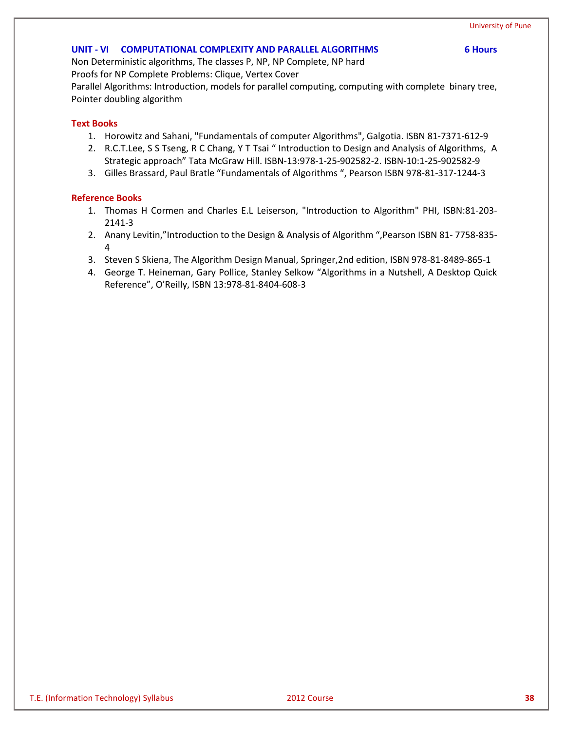#### **UNIT - VI COMPUTATIONAL COMPLEXITY AND PARALLEL ALGORITHMS 6 Hours**

Non Deterministic algorithms, The classes P, NP, NP Complete, NP hard Proofs for NP Complete Problems: Clique, Vertex Cover

Parallel Algorithms: Introduction, models for parallel computing, computing with complete binary tree, Pointer doubling algorithm

#### **Text Books**

- 1. Horowitz and Sahani, "Fundamentals of computer Algorithms", Galgotia. ISBN 81-7371-612-9
- 2. R.C.T.Lee, S S Tseng, R C Chang, Y T Tsai " Introduction to Design and Analysis of Algorithms, A Strategic approach" Tata McGraw Hill. ISBN-13:978-1-25-902582-2. ISBN-10:1-25-902582-9
- 3. Gilles Brassard, Paul Bratle "Fundamentals of Algorithms ", Pearson ISBN 978-81-317-1244-3

- 1. Thomas H Cormen and Charles E.L Leiserson, "Introduction to Algorithm" PHI, ISBN:81-203- 2141-3
- 2. Anany Levitin,"Introduction to the Design & Analysis of Algorithm ",Pearson ISBN 81- 7758-835- 4
- 3. Steven S Skiena, The Algorithm Design Manual, Springer,2nd edition, ISBN 978-81-8489-865-1
- 4. George T. Heineman, Gary Pollice, Stanley Selkow "Algorithms in a Nutshell, A Desktop Quick Reference", O'Reilly, ISBN 13:978-81-8404-608-3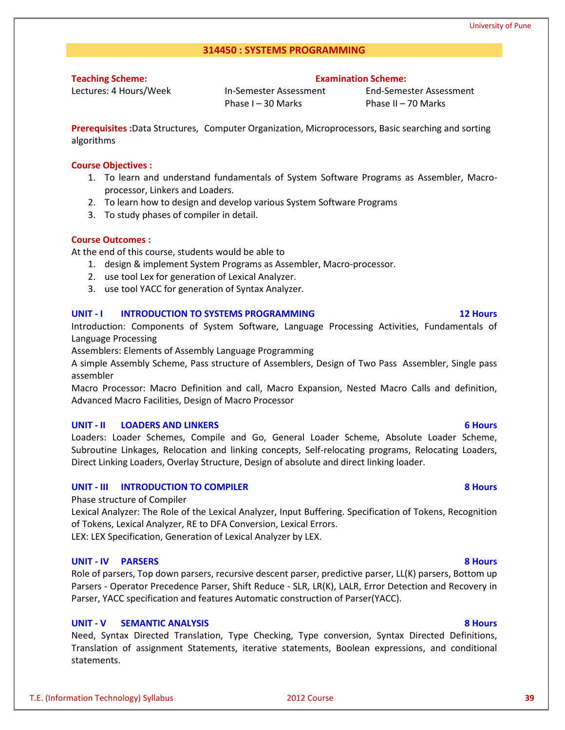### **314450 : SYSTEMS PROGRAMMING**

**Teaching Scheme:**

Lectures: 4 Hours/Week

In-Semester Assessment Phase I – 30 Marks

End-Semester Assessment Phase II – 70 Marks

**Examination Scheme:**

**Prerequisites :**Data Structures, Computer Organization, Microprocessors, Basic searching and sorting algorithms

#### **Course Objectives :**

- 1. To learn and understand fundamentals of System Software Programs as Assembler, Macroprocessor, Linkers and Loaders.
- 2. To learn how to design and develop various System Software Programs
- 3. To study phases of compiler in detail.

#### **Course Outcomes :**

At the end of this course, students would be able to

- 1. design & implement System Programs as Assembler, Macro-processor.
- 2. use tool Lex for generation of Lexical Analyzer.
- 3. use tool YACC for generation of Syntax Analyzer.

#### **UNIT - I INTRODUCTION TO SYSTEMS PROGRAMMING 12 Hours**

Introduction: Components of System Software, Language Processing Activities, Fundamentals of Language Processing

Assemblers: Elements of Assembly Language Programming

A simple Assembly Scheme, Pass structure of Assemblers, Design of Two Pass Assembler, Single pass assembler

Macro Processor: Macro Definition and call, Macro Expansion, Nested Macro Calls and definition, Advanced Macro Facilities, Design of Macro Processor

#### **UNIT - II LOADERS AND LINKERS 6 Hours**

Loaders: Loader Schemes, Compile and Go, General Loader Scheme, Absolute Loader Scheme, Subroutine Linkages, Relocation and linking concepts, Self-relocating programs, Relocating Loaders, Direct Linking Loaders, Overlay Structure, Design of absolute and direct linking loader.

### **UNIT - III INTRODUCTION TO COMPILER 8 Hours**

#### Phase structure of Compiler

Lexical Analyzer: The Role of the Lexical Analyzer, Input Buffering. Specification of Tokens, Recognition of Tokens, Lexical Analyzer, RE to DFA Conversion, Lexical Errors.

LEX: LEX Specification, Generation of Lexical Analyzer by LEX.

#### **UNIT - IV PARSERS 8 Hours**

Role of parsers, Top down parsers, recursive descent parser, predictive parser, LL(K) parsers, Bottom up Parsers - Operator Precedence Parser, Shift Reduce - SLR, LR(K), LALR, Error Detection and Recovery in Parser, YACC specification and features Automatic construction of Parser(YACC).

#### **UNIT - V SEMANTIC ANALYSIS 8 Hours**

Need, Syntax Directed Translation, Type Checking, Type conversion, Syntax Directed Definitions, Translation of assignment Statements, iterative statements, Boolean expressions, and conditional statements.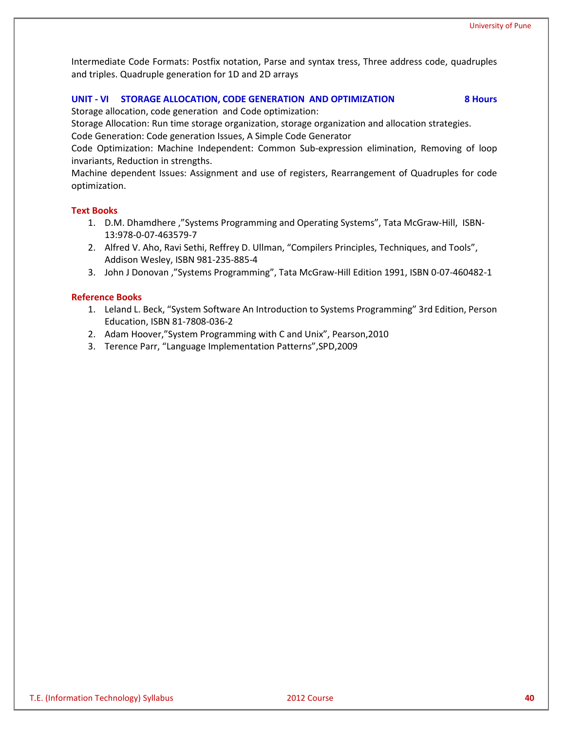Intermediate Code Formats: Postfix notation, Parse and syntax tress, Three address code, quadruples and triples. Quadruple generation for 1D and 2D arrays

#### **UNIT - VI STORAGE ALLOCATION, CODE GENERATION AND OPTIMIZATION 8 Hours**

Storage allocation, code generation and Code optimization:

Storage Allocation: Run time storage organization, storage organization and allocation strategies.

Code Generation: Code generation Issues, A Simple Code Generator

Code Optimization: Machine Independent: Common Sub-expression elimination, Removing of loop invariants, Reduction in strengths.

Machine dependent Issues: Assignment and use of registers, Rearrangement of Quadruples for code optimization.

### **Text Books**

- 1. D.M. Dhamdhere ,"Systems Programming and Operating Systems", Tata McGraw-Hill, ISBN-13:978-0-07-463579-7
- 2. Alfred V. Aho, Ravi Sethi, Reffrey D. Ullman, "Compilers Principles, Techniques, and Tools", Addison Wesley, ISBN 981-235-885-4
- 3. John J Donovan ,"Systems Programming", Tata McGraw-Hill Edition 1991, ISBN 0-07-460482-1

- 1. Leland L. Beck, "System Software An Introduction to Systems Programming" 3rd Edition, Person Education, ISBN 81-7808-036-2
- 2. Adam Hoover,"System Programming with C and Unix", Pearson,2010
- 3. Terence Parr, "Language Implementation Patterns",SPD,2009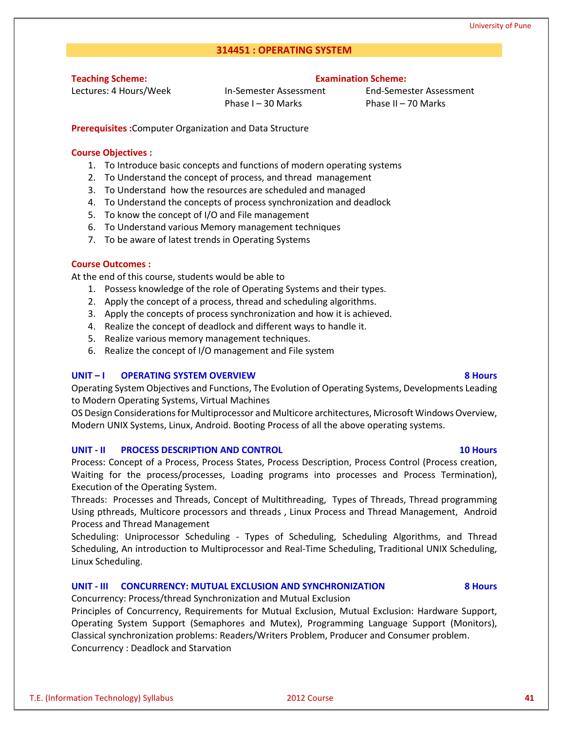### **314451 : OPERATING SYSTEM**

**Teaching Scheme:**

Lectures: 4 Hours/Week

#### **Examination Scheme:**

In-Semester Assessment Phase I – 30 Marks

End-Semester Assessment Phase II – 70 Marks

**Prerequisites :**Computer Organization and Data Structure

#### **Course Objectives :**

- 1. To Introduce basic concepts and functions of modern operating systems
- 2. To Understand the concept of process, and thread management
- 3. To Understand how the resources are scheduled and managed
- 4. To Understand the concepts of process synchronization and deadlock
- 5. To know the concept of I/O and File management
- 6. To Understand various Memory management techniques
- 7. To be aware of latest trends in Operating Systems

#### **Course Outcomes :**

At the end of this course, students would be able to

- 1. Possess knowledge of the role of Operating Systems and their types.
- 2. Apply the concept of a process, thread and scheduling algorithms.
- 3. Apply the concepts of process synchronization and how it is achieved.
- 4. Realize the concept of deadlock and different ways to handle it.
- 5. Realize various memory management techniques.
- 6. Realize the concept of I/O management and File system

#### **UNIT – I OPERATING SYSTEM OVERVIEW 8 Hours**

Operating System Objectives and Functions, The Evolution of Operating Systems, Developments Leading to Modern Operating Systems, Virtual Machines

OS Design Considerations for Multiprocessor and Multicore architectures, Microsoft Windows Overview, Modern UNIX Systems, Linux, Android. Booting Process of all the above operating systems.

#### **UNIT - II PROCESS DESCRIPTION AND CONTROL 10 Hours**

Process: Concept of a Process, Process States, Process Description, Process Control (Process creation, Waiting for the process/processes, Loading programs into processes and Process Termination), Execution of the Operating System.

Threads: Processes and Threads, Concept of Multithreading, Types of Threads, Thread programming Using pthreads, Multicore processors and threads , Linux Process and Thread Management, Android Process and Thread Management

Scheduling: Uniprocessor Scheduling - Types of Scheduling, Scheduling Algorithms, and Thread Scheduling, An introduction to Multiprocessor and Real-Time Scheduling, Traditional UNIX Scheduling, Linux Scheduling.

#### **UNIT - III CONCURRENCY: MUTUAL EXCLUSION AND SYNCHRONIZATION 8 Hours**

Concurrency: Process/thread Synchronization and Mutual Exclusion

Principles of Concurrency, Requirements for Mutual Exclusion, Mutual Exclusion: Hardware Support, Operating System Support (Semaphores and Mutex), Programming Language Support (Monitors), Classical synchronization problems: Readers/Writers Problem, Producer and Consumer problem. Concurrency : Deadlock and Starvation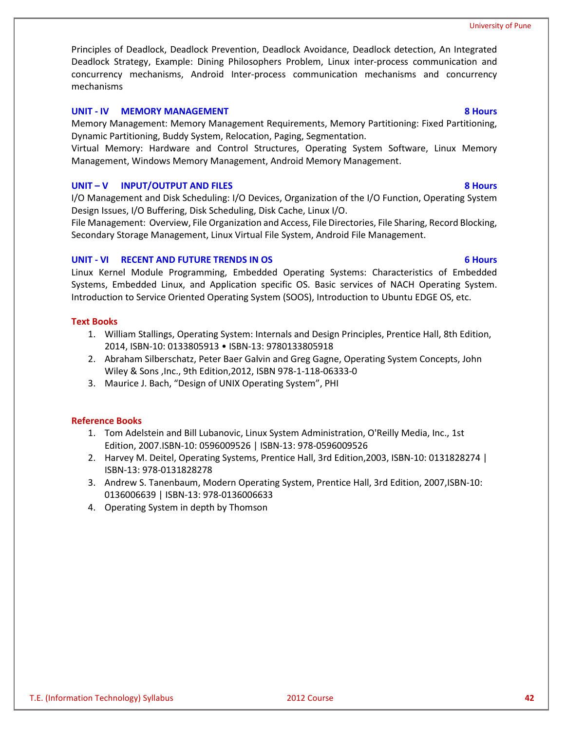Principles of Deadlock, Deadlock Prevention, Deadlock Avoidance, Deadlock detection, An Integrated Deadlock Strategy, Example: Dining Philosophers Problem, Linux inter-process communication and concurrency mechanisms, Android Inter-process communication mechanisms and concurrency mechanisms

### **UNIT - IV MEMORY MANAGEMENT 8 Hours**

Memory Management: Memory Management Requirements, Memory Partitioning: Fixed Partitioning, Dynamic Partitioning, Buddy System, Relocation, Paging, Segmentation.

Virtual Memory: Hardware and Control Structures, Operating System Software, Linux Memory Management, Windows Memory Management, Android Memory Management.

#### **UNIT – V INPUT/OUTPUT AND FILES 8 Hours**

I/O Management and Disk Scheduling: I/O Devices, Organization of the I/O Function, Operating System Design Issues, I/O Buffering, Disk Scheduling, Disk Cache, Linux I/O.

File Management: Overview, File Organization and Access, File Directories, File Sharing, Record Blocking, Secondary Storage Management, Linux Virtual File System, Android File Management.

#### **UNIT - VI RECENT AND FUTURE TRENDS IN OS 6 Hours**

Linux Kernel Module Programming, Embedded Operating Systems: Characteristics of Embedded Systems, Embedded Linux, and Application specific OS. Basic services of NACH Operating System. Introduction to Service Oriented Operating System (SOOS), Introduction to Ubuntu EDGE OS, etc.

#### **Text Books**

- 1. William Stallings, Operating System: Internals and Design Principles, Prentice Hall, 8th Edition, 2014, ISBN-10: 0133805913 • ISBN-13: 9780133805918
- 2. Abraham Silberschatz, Peter Baer Galvin and Greg Gagne, Operating System Concepts, John Wiley & Sons ,Inc., 9th Edition,2012, ISBN 978-1-118-06333-0
- 3. Maurice J. Bach, "Design of UNIX Operating System", PHI

- 1. Tom Adelstein and Bill Lubanovic, Linux System Administration, O'Reilly Media, Inc., 1st Edition, 2007.ISBN-10: 0596009526 | ISBN-13: 978-0596009526
- 2. Harvey M. Deitel, Operating Systems, Prentice Hall, 3rd Edition,2003, ISBN-10: 0131828274 | ISBN-13: 978-0131828278
- 3. Andrew S. Tanenbaum, Modern Operating System, Prentice Hall, 3rd Edition, 2007,ISBN-10: 0136006639 | ISBN-13: 978-0136006633
- 4. Operating System in depth by Thomson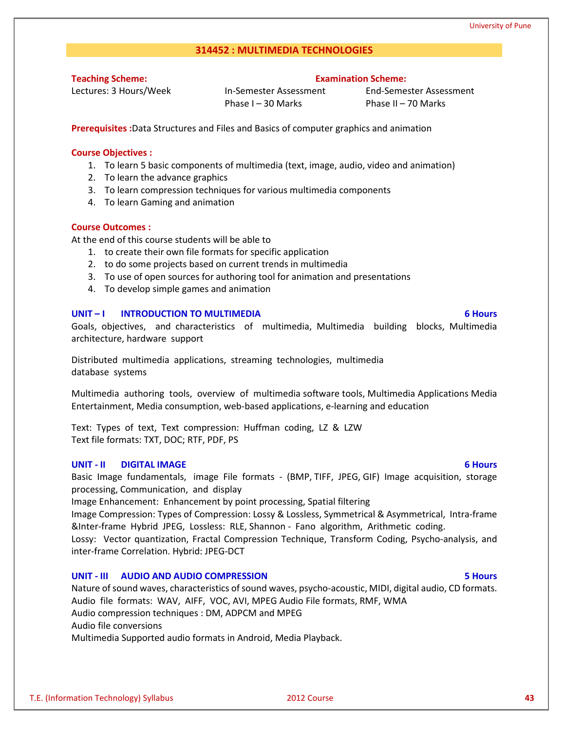#### **314452 : MULTIMEDIA TECHNOLOGIES**

**Teaching Scheme:**

Lectures: 3 Hours/Week

In-Semester Assessment Phase I – 30 Marks

End-Semester Assessment Phase II – 70 Marks

**Examination Scheme:**

**Prerequisites :**Data Structures and Files and Basics of computer graphics and animation

#### **Course Objectives :**

- 1. To learn 5 basic components of multimedia (text, image, audio, video and animation)
- 2. To learn the advance graphics
- 3. To learn compression techniques for various multimedia components
- 4. To learn Gaming and animation

#### **Course Outcomes :**

At the end of this course students will be able to

- 1. to create their own file formats for specific application
- 2. to do some projects based on current trends in multimedia
- 3. To use of open sources for authoring tool for animation and presentations
- 4. To develop simple games and animation

#### **UNIT – I INTRODUCTION TO MULTIMEDIA 6 Hours**

Goals, objectives, and characteristics of multimedia, Multimedia building blocks, Multimedia architecture, hardware support

Distributed multimedia applications, streaming technologies, multimedia database systems

Multimedia authoring tools, overview of multimedia software tools, Multimedia Applications Media Entertainment, Media consumption, web-based applications, e-learning and education

Text: Types of text, Text compression: Huffman coding, LZ & LZW Text file formats: TXT, DOC; RTF, PDF, PS

#### **UNIT - II DIGITAL IMAGE 6 Hours**

Basic Image fundamentals, image File formats - (BMP, TIFF, JPEG, GIF) Image acquisition, storage processing, Communication, and display

Image Enhancement: Enhancement by point processing, Spatial filtering

Image Compression: Types of Compression: Lossy & Lossless, Symmetrical & Asymmetrical, Intra-frame &Inter-frame Hybrid JPEG, Lossless: RLE, Shannon - Fano algorithm, Arithmetic coding.

Lossy: Vector quantization, Fractal Compression Technique, Transform Coding, Psycho-analysis, and inter-frame Correlation. Hybrid: JPEG-DCT

#### **UNIT - III AUDIO AND AUDIO COMPRESSION 5 Hours**

Nature of sound waves, characteristics of sound waves, psycho-acoustic, MIDI, digital audio, CD formats. Audio file formats: WAV, AIFF, VOC, AVI, MPEG Audio File formats, RMF, WMA Audio compression techniques : DM, ADPCM and MPEG Audio file conversions Multimedia Supported audio formats in Android, Media Playback.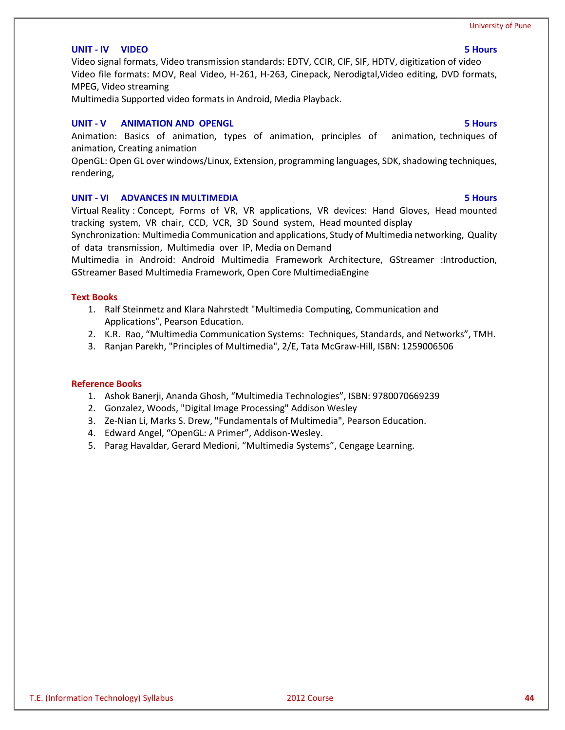#### **UNIT - IV VIDEO 5 Hours**

Video signal formats, Video transmission standards: EDTV, CCIR, CIF, SIF, HDTV, digitization of video Video file formats: MOV, Real Video, H-261, H-263, Cinepack, Nerodigtal,Video editing, DVD formats, MPEG, Video streaming

Multimedia Supported video formats in Android, Media Playback.

#### **UNIT - V ANIMATION AND OPENGL 5 Hours**

Animation: Basics of animation, types of animation, principles of animation, techniques of animation, Creating animation

OpenGL: Open GL over windows/Linux, Extension, programming languages, SDK, shadowing techniques, rendering,

#### **UNIT - VI ADVANCES IN MULTIMEDIA 5 Hours**

Virtual Reality : Concept, Forms of VR, VR applications, VR devices: Hand Gloves, Head mounted tracking system, VR chair, CCD, VCR, 3D Sound system, Head mounted display

Synchronization: Multimedia Communication and applications, Study of Multimedia networking, Quality of data transmission, Multimedia over IP, Media on Demand

Multimedia in Android: Android Multimedia Framework Architecture, GStreamer :Introduction, GStreamer Based Multimedia Framework, Open Core MultimediaEngine

#### **Text Books**

- 1. Ralf Steinmetz and Klara Nahrstedt "Multimedia Computing, Communication and Applications", Pearson Education.
- 2. K.R. Rao, "Multimedia Communication Systems: Techniques, Standards, and Networks", TMH.
- 3. Ranjan Parekh, "Principles of Multimedia", 2/E, Tata McGraw-Hill, ISBN: 1259006506

- 1. Ashok Banerji, Ananda Ghosh, "Multimedia Technologies", ISBN: 9780070669239
- 2. Gonzalez, Woods, "Digital Image Processing" Addison Wesley
- 3. Ze-Nian Li, Marks S. Drew, "Fundamentals of Multimedia", Pearson Education.
- 4. Edward Angel, "OpenGL: A Primer", Addison-Wesley.
- 5. Parag Havaldar, Gerard Medioni, "Multimedia Systems", Cengage Learning.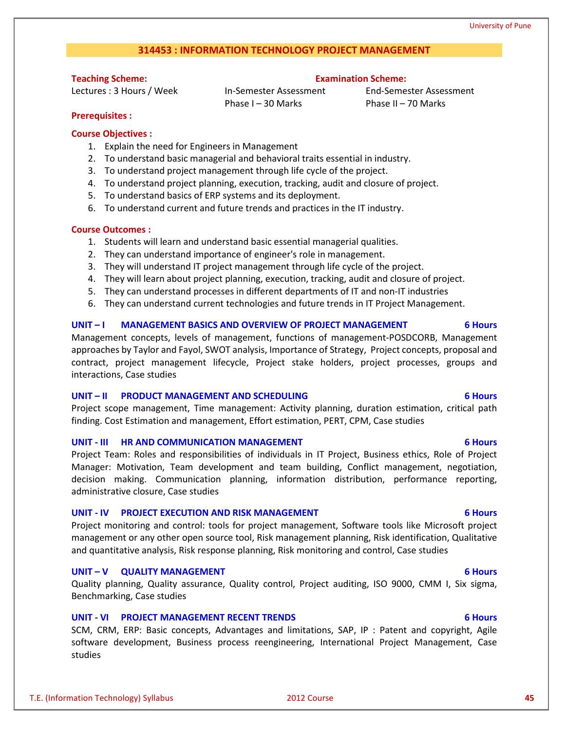# **314453 : INFORMATION TECHNOLOGY PROJECT MANAGEMENT**

# **Teaching Scheme:**

Lectures : 3 Hours / Week

In-Semester Assessment Phase I – 30 Marks

End-Semester Assessment Phase II – 70 Marks

**Examination Scheme:**

### **Prerequisites :**

### **Course Objectives :**

- 1. Explain the need for Engineers in Management
- 2. To understand basic managerial and behavioral traits essential in industry.
- 3. To understand project management through life cycle of the project.
- 4. To understand project planning, execution, tracking, audit and closure of project.
- 5. To understand basics of ERP systems and its deployment.
- 6. To understand current and future trends and practices in the IT industry.

### **Course Outcomes :**

- 1. Students will learn and understand basic essential managerial qualities.
- 2. They can understand importance of engineer's role in management.
- 3. They will understand IT project management through life cycle of the project.
- 4. They will learn about project planning, execution, tracking, audit and closure of project.
- 5. They can understand processes in different departments of IT and non-IT industries
- 6. They can understand current technologies and future trends in IT Project Management.

### **UNIT – I MANAGEMENT BASICS AND OVERVIEW OF PROJECT MANAGEMENT 6 Hours**

Management concepts, levels of management, functions of management-POSDCORB, Management approaches by Taylor and Fayol, SWOT analysis, Importance of Strategy, Project concepts, proposal and contract, project management lifecycle, Project stake holders, project processes, groups and interactions, Case studies

#### **UNIT – II PRODUCT MANAGEMENT AND SCHEDULING 6 Hours**

Project scope management, Time management: Activity planning, duration estimation, critical path finding. Cost Estimation and management, Effort estimation, PERT, CPM, Case studies

### **UNIT - III HR AND COMMUNICATION MANAGEMENT 6 Hours**

Project Team: Roles and responsibilities of individuals in IT Project, Business ethics, Role of Project Manager: Motivation, Team development and team building, Conflict management, negotiation, decision making. Communication planning, information distribution, performance reporting, administrative closure, Case studies

### **UNIT - IV PROJECT EXECUTION AND RISK MANAGEMENT 6 Hours**

Project monitoring and control: tools for project management, Software tools like Microsoft project management or any other open source tool, Risk management planning, Risk identification, Qualitative and quantitative analysis, Risk response planning, Risk monitoring and control, Case studies

### **UNIT – V QUALITY MANAGEMENT 6 Hours**

Quality planning, Quality assurance, Quality control, Project auditing, ISO 9000, CMM I, Six sigma, Benchmarking, Case studies

### **UNIT - VI PROJECT MANAGEMENT RECENT TRENDS 6 Hours**

SCM, CRM, ERP: Basic concepts, Advantages and limitations, SAP, IP : Patent and copyright, Agile software development, Business process reengineering, International Project Management, Case studies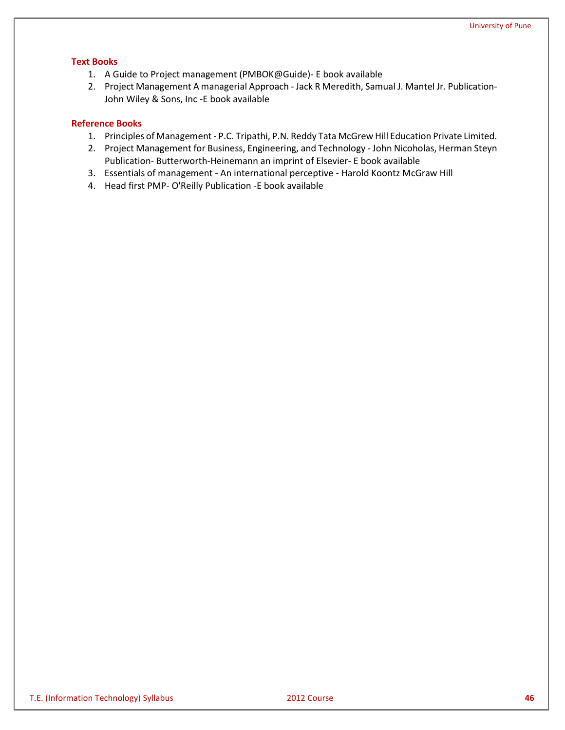### **Text Books**

- 1. A Guide to Project management (PMBOK@Guide)- E book available
- 2. Project Management A managerial Approach Jack R Meredith, Samual J. Mantel Jr. Publication-John Wiley & Sons, Inc -E book available

- 1. Principles of Management P.C. Tripathi, P.N. Reddy Tata McGrew Hill Education Private Limited.
- 2. Project Management for Business, Engineering, and Technology John Nicoholas, Herman Steyn Publication- Butterworth-Heinemann an imprint of Elsevier- E book available
- 3. Essentials of management An international perceptive Harold Koontz McGraw Hill
- 4. Head first PMP- O'Reilly Publication -E book available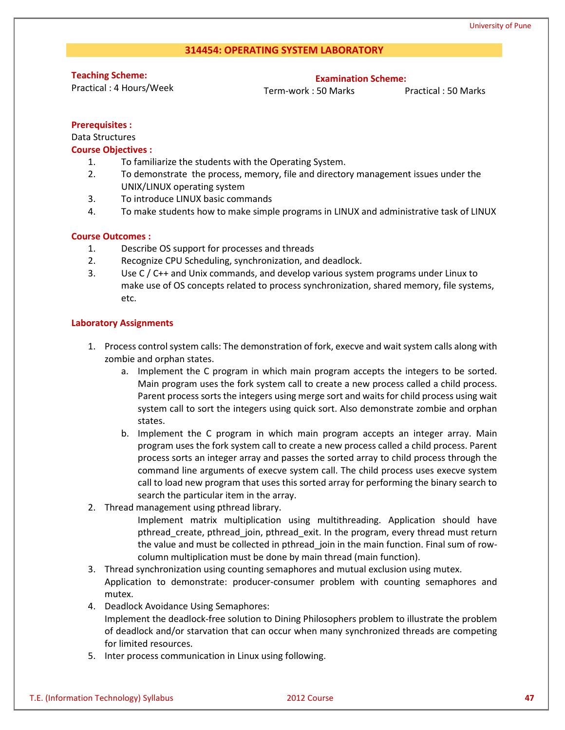#### **314454: OPERATING SYSTEM LABORATORY**

**Teaching Scheme:**

Practical : 4 Hours/Week

**Examination Scheme:**

Term-work : 50 Marks Practical : 50 Marks

#### **Prerequisites :**

Data Structures

### **Course Objectives :**

- 1. To familiarize the students with the Operating System.
- 2. To demonstrate the process, memory, file and directory management issues under the UNIX/LINUX operating system
- 3. To introduce LINUX basic commands
- 4. To make students how to make simple programs in LINUX and administrative task of LINUX

#### **Course Outcomes :**

- 1. Describe OS support for processes and threads
- 2. Recognize CPU Scheduling, synchronization, and deadlock.
- 3. Use C / C++ and Unix commands, and develop various system programs under Linux to make use of OS concepts related to process synchronization, shared memory, file systems, etc.

#### **Laboratory Assignments**

- 1. Process control system calls: The demonstration of fork, execve and wait system calls along with zombie and orphan states.
	- a. Implement the C program in which main program accepts the integers to be sorted. Main program uses the fork system call to create a new process called a child process. Parent process sorts the integers using merge sort and waits for child process using wait system call to sort the integers using quick sort. Also demonstrate zombie and orphan states.
	- b. Implement the C program in which main program accepts an integer array. Main program uses the fork system call to create a new process called a child process. Parent process sorts an integer array and passes the sorted array to child process through the command line arguments of execve system call. The child process uses execve system call to load new program that uses this sorted array for performing the binary search to search the particular item in the array.
- 2. Thread management using pthread library.

Implement matrix multiplication using multithreading. Application should have pthread\_create, pthread\_join, pthread\_exit. In the program, every thread must return the value and must be collected in pthread\_join in the main function. Final sum of rowcolumn multiplication must be done by main thread (main function).

- 3. Thread synchronization using counting semaphores and mutual exclusion using mutex. Application to demonstrate: producer-consumer problem with counting semaphores and mutex.
- 4. Deadlock Avoidance Using Semaphores:
	- Implement the deadlock-free solution to Dining Philosophers problem to illustrate the problem of deadlock and/or starvation that can occur when many synchronized threads are competing for limited resources.
- 5. Inter process communication in Linux using following.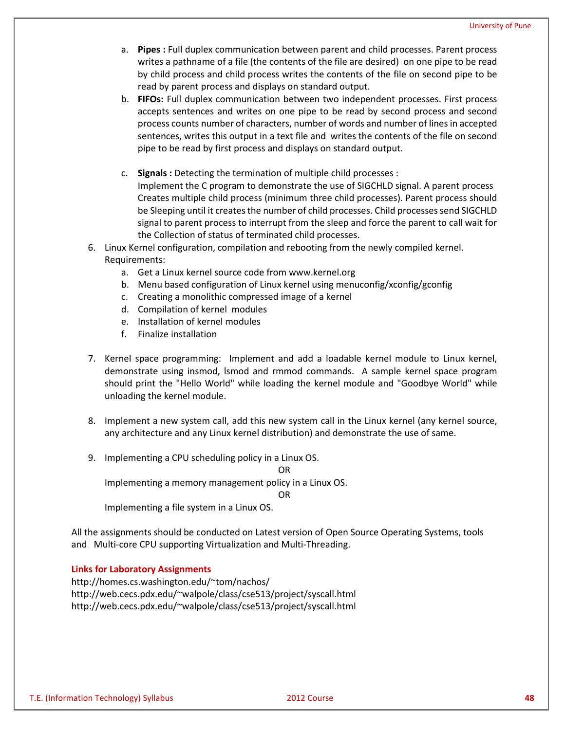- a. **Pipes :** Full duplex communication between parent and child processes. Parent process writes a pathname of a file (the contents of the file are desired) on one pipe to be read by child process and child process writes the contents of the file on second pipe to be read by parent process and displays on standard output.
- b. **FIFOs:** Full duplex communication between two independent processes. First process accepts sentences and writes on one pipe to be read by second process and second process counts number of characters, number of words and number of lines in accepted sentences, writes this output in a text file and writes the contents of the file on second pipe to be read by first process and displays on standard output.
- c. **Signals :** Detecting the termination of multiple child processes : Implement the C program to demonstrate the use of SIGCHLD signal. A parent process Creates multiple child process (minimum three child processes). Parent process should be Sleeping until it creates the number of child processes. Child processes send SIGCHLD signal to parent process to interrupt from the sleep and force the parent to call wait for the Collection of status of terminated child processes.
- 6. Linux Kernel configuration, compilation and rebooting from the newly compiled kernel. Requirements:
	- a. Get a Linux kernel source code from www.kernel.org
	- b. Menu based configuration of Linux kernel using menuconfig/xconfig/gconfig
	- c. Creating a monolithic compressed image of a kernel
	- d. Compilation of kernel modules
	- e. Installation of kernel modules
	- f. Finalize installation
- 7. Kernel space programming: Implement and add a loadable kernel module to Linux kernel, demonstrate using insmod, lsmod and rmmod commands. A sample kernel space program should print the "Hello World" while loading the kernel module and "Goodbye World" while unloading the kernel module.
- 8. Implement a new system call, add this new system call in the Linux kernel (any kernel source, any architecture and any Linux kernel distribution) and demonstrate the use of same.
- 9. Implementing a CPU scheduling policy in a Linux OS.

OR

Implementing a memory management policy in a Linux OS.

OR

Implementing a file system in a Linux OS.

All the assignments should be conducted on Latest version of Open Source Operating Systems, tools and Multi-core CPU supporting Virtualization and Multi-Threading.

#### **Links for Laboratory Assignments**

http://homes.cs.washington.edu/~tom/nachos/ http://web.cecs.pdx.edu/~walpole/class/cse513/project/syscall.html http://web.cecs.pdx.edu/~walpole/class/cse513/project/syscall.html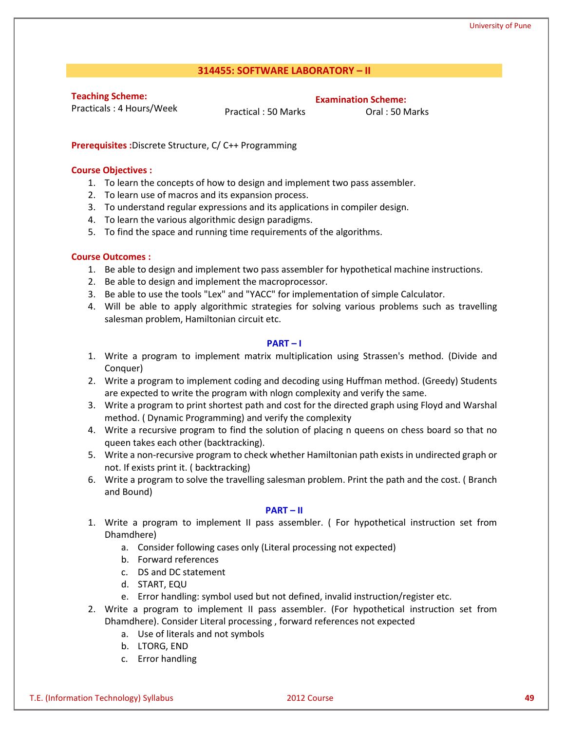### **314455: SOFTWARE LABORATORY – II**

**Teaching Scheme:**

Practicals : 4 Hours/Week

Practical : 50 Marks **Oral : 50 Marks** 

**Examination Scheme:**

**Prerequisites :**Discrete Structure, C/ C++ Programming

#### **Course Objectives :**

- 1. To learn the concepts of how to design and implement two pass assembler.
- 2. To learn use of macros and its expansion process.
- 3. To understand regular expressions and its applications in compiler design.
- 4. To learn the various algorithmic design paradigms.
- 5. To find the space and running time requirements of the algorithms.

### **Course Outcomes :**

- 1. Be able to design and implement two pass assembler for hypothetical machine instructions.
- 2. Be able to design and implement the macroprocessor.
- 3. Be able to use the tools "Lex" and "YACC" for implementation of simple Calculator.
- 4. Will be able to apply algorithmic strategies for solving various problems such as travelling salesman problem, Hamiltonian circuit etc.

#### **PART – I**

- 1. Write a program to implement matrix multiplication using Strassen's method. (Divide and Conquer)
- 2. Write a program to implement coding and decoding using Huffman method. (Greedy) Students are expected to write the program with nlogn complexity and verify the same.
- 3. Write a program to print shortest path and cost for the directed graph using Floyd and Warshal method. ( Dynamic Programming) and verify the complexity
- 4. Write a recursive program to find the solution of placing n queens on chess board so that no queen takes each other (backtracking).
- 5. Write a non-recursive program to check whether Hamiltonian path exists in undirected graph or not. If exists print it. ( backtracking)
- 6. Write a program to solve the travelling salesman problem. Print the path and the cost. ( Branch and Bound)

#### **PART – II**

- 1. Write a program to implement II pass assembler. ( For hypothetical instruction set from Dhamdhere)
	- a. Consider following cases only (Literal processing not expected)
	- b. Forward references
	- c. DS and DC statement
	- d. START, EQU
	- e. Error handling: symbol used but not defined, invalid instruction/register etc.
- 2. Write a program to implement II pass assembler. (For hypothetical instruction set from Dhamdhere). Consider Literal processing , forward references not expected
	- a. Use of literals and not symbols
	- b. LTORG, END
	- c. Error handling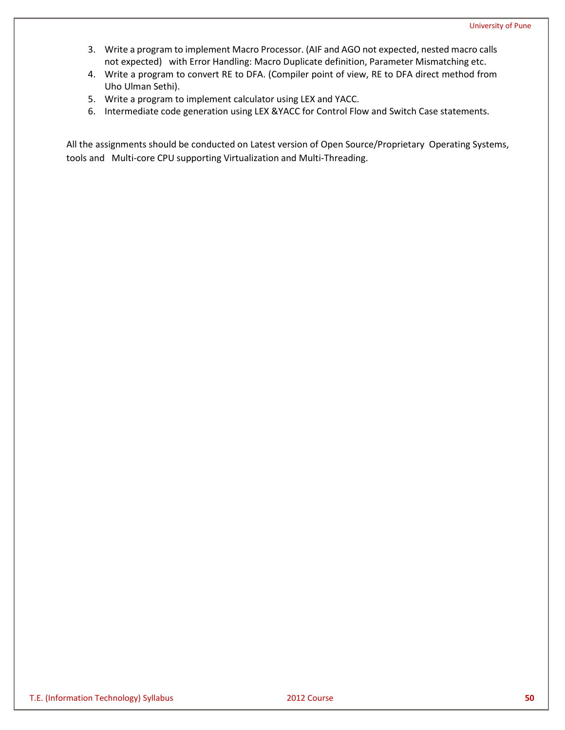- 3. Write a program to implement Macro Processor. (AIF and AGO not expected, nested macro calls not expected) with Error Handling: Macro Duplicate definition, Parameter Mismatching etc.
- 4. Write a program to convert RE to DFA. (Compiler point of view, RE to DFA direct method from Uho Ulman Sethi).
- 5. Write a program to implement calculator using LEX and YACC.
- 6. Intermediate code generation using LEX &YACC for Control Flow and Switch Case statements.

All the assignments should be conducted on Latest version of Open Source/Proprietary Operating Systems, tools and Multi-core CPU supporting Virtualization and Multi-Threading.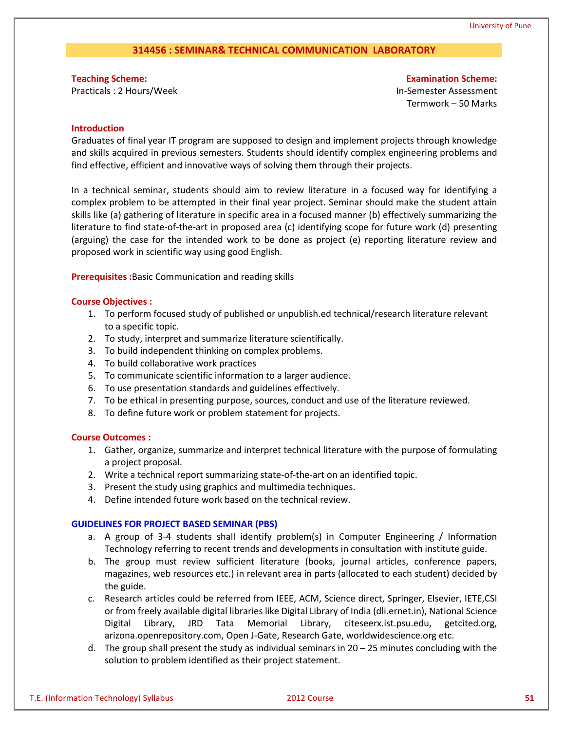### **314456 : SEMINAR& TECHNICAL COMMUNICATION LABORATORY**

**Teaching Scheme:** Practicals : 2 Hours/Week

**Examination Scheme:** In-Semester Assessment Termwork – 50 Marks

#### **Introduction**

Graduates of final year IT program are supposed to design and implement projects through knowledge and skills acquired in previous semesters. Students should identify complex engineering problems and find effective, efficient and innovative ways of solving them through their projects.

In a technical seminar, students should aim to review literature in a focused way for identifying a complex problem to be attempted in their final year project. Seminar should make the student attain skills like (a) gathering of literature in specific area in a focused manner (b) effectively summarizing the literature to find state-of-the-art in proposed area (c) identifying scope for future work (d) presenting (arguing) the case for the intended work to be done as project (e) reporting literature review and proposed work in scientific way using good English.

**Prerequisites :**Basic Communication and reading skills

#### **Course Objectives :**

- 1. To perform focused study of published or unpublish.ed technical/research literature relevant to a specific topic.
- 2. To study, interpret and summarize literature scientifically.
- 3. To build independent thinking on complex problems.
- 4. To build collaborative work practices
- 5. To communicate scientific information to a larger audience.
- 6. To use presentation standards and guidelines effectively.
- 7. To be ethical in presenting purpose, sources, conduct and use of the literature reviewed.
- 8. To define future work or problem statement for projects.

#### **Course Outcomes :**

- 1. Gather, organize, summarize and interpret technical literature with the purpose of formulating a project proposal.
- 2. Write a technical report summarizing state-of-the-art on an identified topic.
- 3. Present the study using graphics and multimedia techniques.
- 4. Define intended future work based on the technical review.

#### **GUIDELINES FOR PROJECT BASED SEMINAR (PBS)**

- a. A group of 3-4 students shall identify problem(s) in Computer Engineering / Information Technology referring to recent trends and developments in consultation with institute guide.
- b. The group must review sufficient literature (books, journal articles, conference papers, magazines, web resources etc.) in relevant area in parts (allocated to each student) decided by the guide.
- c. Research articles could be referred from IEEE, ACM, Science direct, Springer, Elsevier, IETE,CSI or from freely available digital libraries like Digital Library of India (dli.ernet.in), National Science Digital Library, JRD Tata Memorial Library, citeseerx.ist.psu.edu, getcited.org, arizona.openrepository.com, Open J-Gate, Research Gate, worldwidescience.org etc.
- d. The group shall present the study as individual seminars in 20 25 minutes concluding with the solution to problem identified as their project statement.